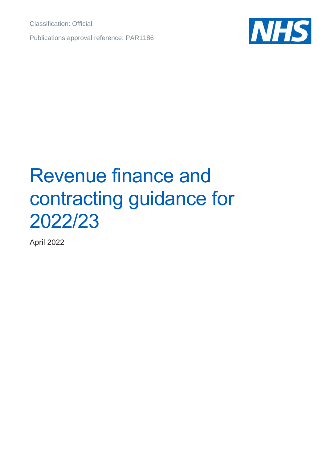Classification: Official

Publications approval reference: PAR1186



# Revenue finance and contracting guidance for 2022/23

April 2022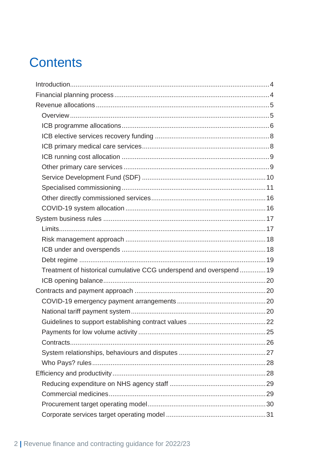## **Contents**

| Treatment of historical cumulative CCG underspend and overspend  19 |  |
|---------------------------------------------------------------------|--|
|                                                                     |  |
|                                                                     |  |
|                                                                     |  |
|                                                                     |  |
|                                                                     |  |
|                                                                     |  |
|                                                                     |  |
|                                                                     |  |
|                                                                     |  |
|                                                                     |  |
|                                                                     |  |
|                                                                     |  |
|                                                                     |  |
|                                                                     |  |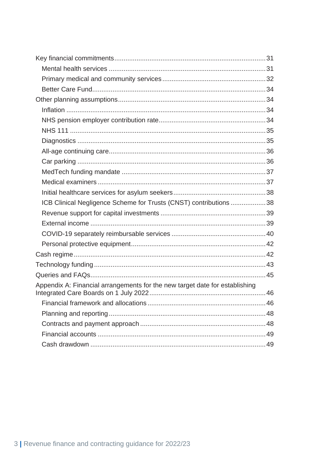| ICB Clinical Negligence Scheme for Trusts (CNST) contributions 38           |  |
|-----------------------------------------------------------------------------|--|
|                                                                             |  |
|                                                                             |  |
|                                                                             |  |
|                                                                             |  |
|                                                                             |  |
|                                                                             |  |
|                                                                             |  |
| Appendix A: Financial arrangements for the new target date for establishing |  |
|                                                                             |  |
|                                                                             |  |
|                                                                             |  |
|                                                                             |  |
|                                                                             |  |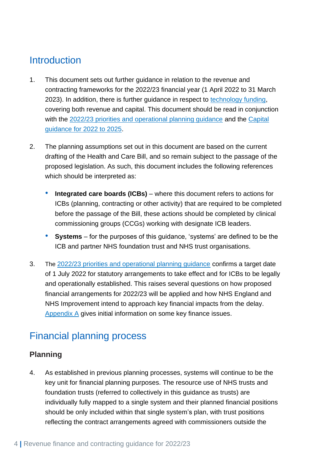## <span id="page-3-0"></span>**Introduction**

- 1. This document sets out further guidance in relation to the revenue and contracting frameworks for the 2022/23 financial year (1 April 2022 to 31 March 2023). In addition, there is further guidance in respect to [technology funding,](#page-42-0) covering both revenue and capital. This document should be read in conjunction with the [2022/23 priorities and operational planning guidance](https://www.england.nhs.uk/publication/2022-23-priorities-and-operational-planning-guidance/) and the [Capital](https://www.england.nhs.uk/publication/planning-guidance-capital-guidance-for-2022-25/)  [guidance for 2022 to 2025.](https://www.england.nhs.uk/publication/planning-guidance-capital-guidance-for-2022-25/)
- 2. The planning assumptions set out in this document are based on the current drafting of the Health and Care Bill, and so remain subject to the passage of the proposed legislation. As such, this document includes the following references which should be interpreted as:
	- **Integrated care boards (ICBs)** where this document refers to actions for ICBs (planning, contracting or other activity) that are required to be completed before the passage of the Bill, these actions should be completed by clinical commissioning groups (CCGs) working with designate ICB leaders.
	- **Systems** for the purposes of this guidance, 'systems' are defined to be the ICB and partner NHS foundation trust and NHS trust organisations.
- 3. The [2022/23 priorities and operational planning guidance](https://www.england.nhs.uk/publication/2022-23-priorities-and-operational-planning-guidance/) confirms a target date of 1 July 2022 for statutory arrangements to take effect and for ICBs to be legally and operationally established. This raises several questions on how proposed financial arrangements for 2022/23 will be applied and how NHS England and NHS Improvement intend to approach key financial impacts from the delay. [Appendix A](#page-45-0) gives initial information on some key finance issues.

## <span id="page-3-1"></span>Financial planning process

#### **Planning**

4. As established in previous planning processes, systems will continue to be the key unit for financial planning purposes. The resource use of NHS trusts and foundation trusts (referred to collectively in this guidance as trusts) are individually fully mapped to a single system and their planned financial positions should be only included within that single system's plan, with trust positions reflecting the contract arrangements agreed with commissioners outside the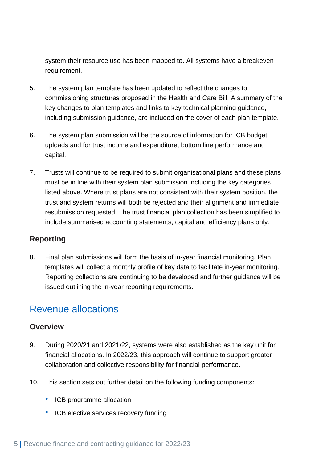system their resource use has been mapped to. All systems have a breakeven requirement.

- 5. The system plan template has been updated to reflect the changes to commissioning structures proposed in the Health and Care Bill. A summary of the key changes to plan templates and links to key technical planning guidance, including submission guidance, are included on the cover of each plan template.
- 6. The system plan submission will be the source of information for ICB budget uploads and for trust income and expenditure, bottom line performance and capital.
- 7. Trusts will continue to be required to submit organisational plans and these plans must be in line with their system plan submission including the key categories listed above. Where trust plans are not consistent with their system position, the trust and system returns will both be rejected and their alignment and immediate resubmission requested. The trust financial plan collection has been simplified to include summarised accounting statements, capital and efficiency plans only.

#### **Reporting**

8. Final plan submissions will form the basis of in-year financial monitoring. Plan templates will collect a monthly profile of key data to facilitate in-year monitoring. Reporting collections are continuing to be developed and further guidance will be issued outlining the in-year reporting requirements.

### <span id="page-4-0"></span>Revenue allocations

#### <span id="page-4-1"></span>**Overview**

- 9. During 2020/21 and 2021/22, systems were also established as the key unit for financial allocations. In 2022/23, this approach will continue to support greater collaboration and collective responsibility for financial performance.
- 10. This section sets out further detail on the following funding components:
	- ICB programme allocation
	- ICB elective services recovery funding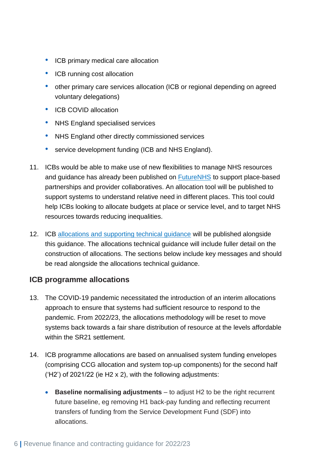- ICB primary medical care allocation
- ICB running cost allocation
- other primary care services allocation (ICB or regional depending on agreed voluntary delegations)
- ICB COVID allocation
- NHS England specialised services
- NHS England other directly commissioned services
- service development funding (ICB and NHS England).
- 11. ICBs would be able to make use of new flexibilities to manage NHS resources and guidance has already been published on [FutureNHS](https://future.nhs.uk/) to support place-based partnerships and provider collaboratives. An allocation tool will be published to support systems to understand relative need in different places. This tool could help ICBs looking to allocate budgets at place or service level, and to target NHS resources towards reducing inequalities.
- 12. ICB [allocations and supporting technical guidance](http://www.england.nhs.uk/allocations) will be published alongside this guidance. The allocations technical guidance will include fuller detail on the construction of allocations. The sections below include key messages and should be read alongside the allocations technical guidance.

#### <span id="page-5-0"></span>**ICB programme allocations**

- 13. The COVID-19 pandemic necessitated the introduction of an interim allocations approach to ensure that systems had sufficient resource to respond to the pandemic. From 2022/23, the allocations methodology will be reset to move systems back towards a fair share distribution of resource at the levels affordable within the SR21 settlement.
- 14. ICB programme allocations are based on annualised system funding envelopes (comprising CCG allocation and system top-up components) for the second half ('H2') of 2021/22 (ie H2 x 2), with the following adjustments:
	- **Baseline normalising adjustments** to adjust H2 to be the right recurrent future baseline, eg removing H1 back-pay funding and reflecting recurrent transfers of funding from the Service Development Fund (SDF) into allocations.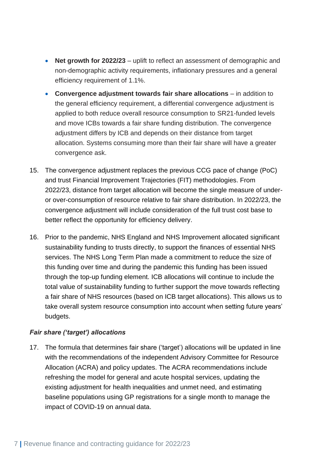- **Net growth for 2022/23** uplift to reflect an assessment of demographic and non-demographic activity requirements, inflationary pressures and a general efficiency requirement of 1.1%.
- **Convergence adjustment towards fair share allocations** in addition to the general efficiency requirement, a differential convergence adjustment is applied to both reduce overall resource consumption to SR21-funded levels and move ICBs towards a fair share funding distribution. The convergence adjustment differs by ICB and depends on their distance from target allocation. Systems consuming more than their fair share will have a greater convergence ask.
- 15. The convergence adjustment replaces the previous CCG pace of change (PoC) and trust Financial Improvement Trajectories (FIT) methodologies. From 2022/23, distance from target allocation will become the single measure of underor over-consumption of resource relative to fair share distribution. In 2022/23, the convergence adjustment will include consideration of the full trust cost base to better reflect the opportunity for efficiency delivery.
- 16. Prior to the pandemic, NHS England and NHS Improvement allocated significant sustainability funding to trusts directly, to support the finances of essential NHS services. The NHS Long Term Plan made a commitment to reduce the size of this funding over time and during the pandemic this funding has been issued through the top-up funding element. ICB allocations will continue to include the total value of sustainability funding to further support the move towards reflecting a fair share of NHS resources (based on ICB target allocations). This allows us to take overall system resource consumption into account when setting future years' budgets.

#### *Fair share ('target') allocations*

17. The formula that determines fair share ('target') allocations will be updated in line with the recommendations of the independent Advisory Committee for Resource Allocation (ACRA) and policy updates. The ACRA recommendations include refreshing the model for general and acute hospital services, updating the existing adjustment for health inequalities and unmet need, and estimating baseline populations using GP registrations for a single month to manage the impact of COVID-19 on annual data.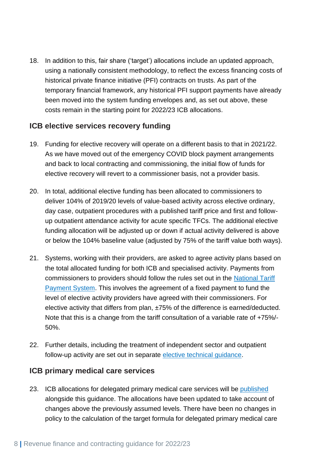18. In addition to this, fair share ('target') allocations include an updated approach, using a nationally consistent methodology, to reflect the excess financing costs of historical private finance initiative (PFI) contracts on trusts. As part of the temporary financial framework, any historical PFI support payments have already been moved into the system funding envelopes and, as set out above, these costs remain in the starting point for 2022/23 ICB allocations.

#### <span id="page-7-0"></span>**ICB elective services recovery funding**

- 19. Funding for elective recovery will operate on a different basis to that in 2021/22. As we have moved out of the emergency COVID block payment arrangements and back to local contracting and commissioning, the initial flow of funds for elective recovery will revert to a commissioner basis, not a provider basis.
- 20. In total, additional elective funding has been allocated to commissioners to deliver 104% of 2019/20 levels of value-based activity across elective ordinary, day case, outpatient procedures with a published tariff price and first and followup outpatient attendance activity for acute specific TFCs. The additional elective funding allocation will be adjusted up or down if actual activity delivered is above or below the 104% baseline value (adjusted by 75% of the tariff value both ways).
- 21. Systems, working with their providers, are asked to agree activity plans based on the total allocated funding for both ICB and specialised activity. Payments from commissioners to providers should follow the rules set out in the [National Tariff](https://www.england.nhs.uk/pay-syst/national-tariff/national-tariff-payment-system/)  [Payment System.](https://www.england.nhs.uk/pay-syst/national-tariff/national-tariff-payment-system/) This involves the agreement of a fixed payment to fund the level of elective activity providers have agreed with their commissioners. For elective activity that differs from plan, ±75% of the difference is earned/deducted. Note that this is a change from the tariff consultation of a variable rate of +75%/- 50%.
- 22. Further details, including the treatment of independent sector and outpatient follow-up activity are set out in separate [elective technical guidance.](https://www.england.nhs.uk/publication/planning-guidance-additional-elective-technical-guidance-2022-23)

#### <span id="page-7-1"></span>**ICB primary medical care services**

23. ICB allocations for delegated primary medical care services will be [published](https://www.england.nhs.uk/allocations/) alongside this guidance. The allocations have been updated to take account of changes above the previously assumed levels. There have been no changes in policy to the calculation of the target formula for delegated primary medical care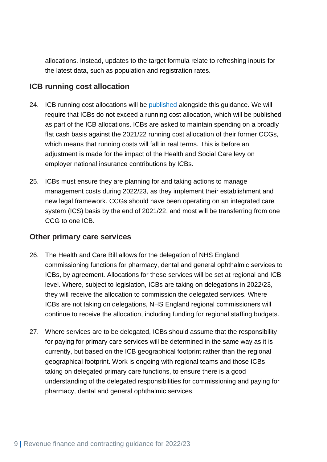allocations. Instead, updates to the target formula relate to refreshing inputs for the latest data, such as population and registration rates.

#### <span id="page-8-0"></span>**ICB running cost allocation**

- 24. ICB running cost allocations will be [published](https://www.england.nhs.uk/allocations/) alongside this guidance. We will require that ICBs do not exceed a running cost allocation, which will be published as part of the ICB allocations. ICBs are asked to maintain spending on a broadly flat cash basis against the 2021/22 running cost allocation of their former CCGs, which means that running costs will fall in real terms. This is before an adjustment is made for the impact of the Health and Social Care levy on employer national insurance contributions by ICBs.
- 25. ICBs must ensure they are planning for and taking actions to manage management costs during 2022/23, as they implement their establishment and new legal framework. CCGs should have been operating on an integrated care system (ICS) basis by the end of 2021/22, and most will be transferring from one CCG to one ICB.

#### <span id="page-8-1"></span>**Other primary care services**

- 26. The Health and Care Bill allows for the delegation of NHS England commissioning functions for pharmacy, dental and general ophthalmic services to ICBs, by agreement. Allocations for these services will be set at regional and ICB level. Where, subject to legislation, ICBs are taking on delegations in 2022/23, they will receive the allocation to commission the delegated services. Where ICBs are not taking on delegations, NHS England regional commissioners will continue to receive the allocation, including funding for regional staffing budgets.
- 27. Where services are to be delegated, ICBs should assume that the responsibility for paying for primary care services will be determined in the same way as it is currently, but based on the ICB geographical footprint rather than the regional geographical footprint. Work is ongoing with regional teams and those ICBs taking on delegated primary care functions, to ensure there is a good understanding of the delegated responsibilities for commissioning and paying for pharmacy, dental and general ophthalmic services.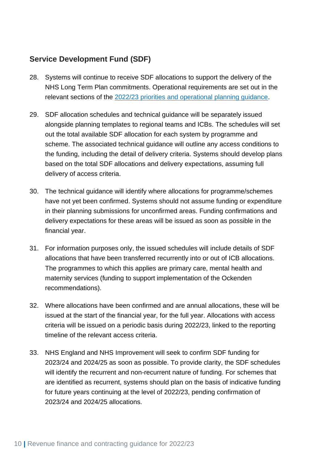#### <span id="page-9-0"></span>**Service Development Fund (SDF)**

- 28. Systems will continue to receive SDF allocations to support the delivery of the NHS Long Term Plan commitments. Operational requirements are set out in the relevant sections of the [2022/23 priorities and operational planning guidance.](https://www.england.nhs.uk/publication/2022-23-priorities-and-operational-planning-guidance/)
- 29. SDF allocation schedules and technical guidance will be separately issued alongside planning templates to regional teams and ICBs. The schedules will set out the total available SDF allocation for each system by programme and scheme. The associated technical guidance will outline any access conditions to the funding, including the detail of delivery criteria. Systems should develop plans based on the total SDF allocations and delivery expectations, assuming full delivery of access criteria.
- 30. The technical guidance will identify where allocations for programme/schemes have not yet been confirmed. Systems should not assume funding or expenditure in their planning submissions for unconfirmed areas. Funding confirmations and delivery expectations for these areas will be issued as soon as possible in the financial year.
- 31. For information purposes only, the issued schedules will include details of SDF allocations that have been transferred recurrently into or out of ICB allocations. The programmes to which this applies are primary care, mental health and maternity services (funding to support implementation of the Ockenden recommendations).
- 32. Where allocations have been confirmed and are annual allocations, these will be issued at the start of the financial year, for the full year. Allocations with access criteria will be issued on a periodic basis during 2022/23, linked to the reporting timeline of the relevant access criteria.
- 33. NHS England and NHS Improvement will seek to confirm SDF funding for 2023/24 and 2024/25 as soon as possible. To provide clarity, the SDF schedules will identify the recurrent and non-recurrent nature of funding. For schemes that are identified as recurrent, systems should plan on the basis of indicative funding for future years continuing at the level of 2022/23, pending confirmation of 2023/24 and 2024/25 allocations.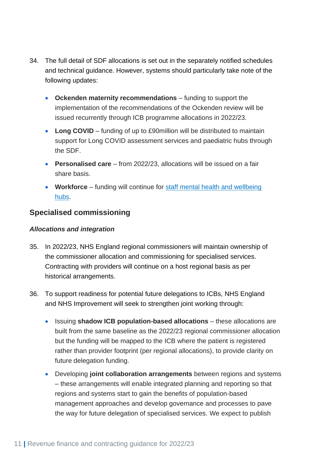- 34. The full detail of SDF allocations is set out in the separately notified schedules and technical guidance. However, systems should particularly take note of the following updates:
	- **Ockenden maternity recommendations** funding to support the implementation of the recommendations of the Ockenden review will be issued recurrently through ICB programme allocations in 2022/23.
	- Long COVID funding of up to £90million will be distributed to maintain support for Long COVID assessment services and paediatric hubs through the SDF.
	- **Personalised care**  from 2022/23, allocations will be issued on a fair share basis.
	- **Workforce** funding will continue for [staff mental health and wellbeing](https://www.england.nhs.uk/supporting-our-nhs-people/support-now/staff-mental-health-and-wellbeing-hubs/) [hubs.](https://www.england.nhs.uk/supporting-our-nhs-people/support-now/staff-mental-health-and-wellbeing-hubs/)

#### <span id="page-10-0"></span>**Specialised commissioning**

#### *Allocations and integration*

- 35. In 2022/23, NHS England regional commissioners will maintain ownership of the commissioner allocation and commissioning for specialised services. Contracting with providers will continue on a host regional basis as per historical arrangements.
- 36. To support readiness for potential future delegations to ICBs, NHS England and NHS Improvement will seek to strengthen joint working through:
	- Issuing **shadow ICB population-based allocations** these allocations are built from the same baseline as the 2022/23 regional commissioner allocation but the funding will be mapped to the ICB where the patient is registered rather than provider footprint (per regional allocations), to provide clarity on future delegation funding.
	- Developing **joint collaboration arrangements** between regions and systems – these arrangements will enable integrated planning and reporting so that regions and systems start to gain the benefits of population-based management approaches and develop governance and processes to pave the way for future delegation of specialised services. We expect to publish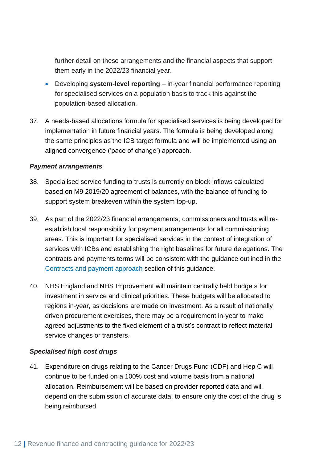further detail on these arrangements and the financial aspects that support them early in the 2022/23 financial year.

- Developing **system-level reporting** in-year financial performance reporting for specialised services on a population basis to track this against the population-based allocation.
- 37. A needs-based allocations formula for specialised services is being developed for implementation in future financial years. The formula is being developed along the same principles as the ICB target formula and will be implemented using an aligned convergence ('pace of change') approach.

#### *Payment arrangements*

- 38. Specialised service funding to trusts is currently on block inflows calculated based on M9 2019/20 agreement of balances, with the balance of funding to support system breakeven within the system top-up.
- 39. As part of the 2022/23 financial arrangements, commissioners and trusts will reestablish local responsibility for payment arrangements for all commissioning areas. This is important for specialised services in the context of integration of services with ICBs and establishing the right baselines for future delegations. The contracts and payments terms will be consistent with the guidance outlined in the [Contracts and payment](#page-19-1) approach section of this guidance.
- 40. NHS England and NHS Improvement will maintain centrally held budgets for investment in service and clinical priorities. These budgets will be allocated to regions in-year, as decisions are made on investment. As a result of nationally driven procurement exercises, there may be a requirement in-year to make agreed adjustments to the fixed element of a trust's contract to reflect material service changes or transfers.

#### *Specialised high cost drugs*

41. Expenditure on drugs relating to the Cancer Drugs Fund (CDF) and Hep C will continue to be funded on a 100% cost and volume basis from a national allocation. Reimbursement will be based on provider reported data and will depend on the submission of accurate data, to ensure only the cost of the drug is being reimbursed.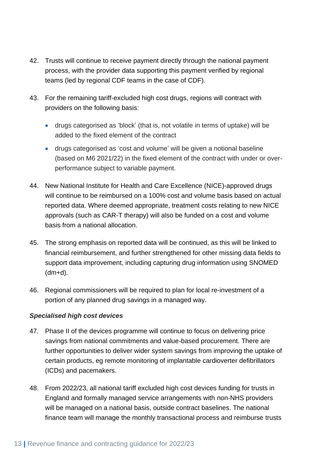- 42. Trusts will continue to receive payment directly through the national payment process, with the provider data supporting this payment verified by regional teams (led by regional CDF teams in the case of CDF).
- 43. For the remaining tariff-excluded high cost drugs, regions will contract with providers on the following basis:
	- drugs categorised as 'block' (that is, not volatile in terms of uptake) will be added to the fixed element of the contract
	- drugs categorised as 'cost and volume' will be given a notional baseline (based on M6 2021/22) in the fixed element of the contract with under or overperformance subject to variable payment.
- 44. New National Institute for Health and Care Excellence (NICE)-approved drugs will continue to be reimbursed on a 100% cost and volume basis based on actual reported data. Where deemed appropriate, treatment costs relating to new NICE approvals (such as CAR-T therapy) will also be funded on a cost and volume basis from a national allocation.
- 45. The strong emphasis on reported data will be continued, as this will be linked to financial reimbursement, and further strengthened for other missing data fields to support data improvement, including capturing drug information using SNOMED (dm+d).
- 46. Regional commissioners will be required to plan for local re-investment of a portion of any planned drug savings in a managed way.

#### *Specialised high cost devices*

- 47. Phase II of the devices programme will continue to focus on delivering price savings from national commitments and value-based procurement. There are further opportunities to deliver wider system savings from improving the uptake of certain products, eg remote monitoring of implantable cardioverter defibrillators (ICDs) and pacemakers.
- 48. From 2022/23, all national tariff excluded high cost devices funding for trusts in England and formally managed service arrangements with non-NHS providers will be managed on a national basis, outside contract baselines. The national finance team will manage the monthly transactional process and reimburse trusts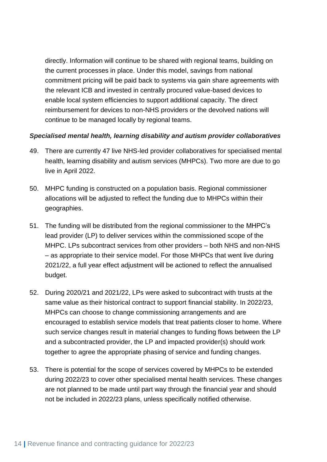directly. Information will continue to be shared with regional teams, building on the current processes in place. Under this model, savings from national commitment pricing will be paid back to systems via gain share agreements with the relevant ICB and invested in centrally procured value-based devices to enable local system efficiencies to support additional capacity. The direct reimbursement for devices to non-NHS providers or the devolved nations will continue to be managed locally by regional teams.

#### *Specialised mental health, learning disability and autism provider collaboratives*

- 49. There are currently 47 live NHS-led provider collaboratives for specialised mental health, learning disability and autism services (MHPCs). Two more are due to go live in April 2022.
- 50. MHPC funding is constructed on a population basis. Regional commissioner allocations will be adjusted to reflect the funding due to MHPCs within their geographies.
- 51. The funding will be distributed from the regional commissioner to the MHPC's lead provider (LP) to deliver services within the commissioned scope of the MHPC. LPs subcontract services from other providers – both NHS and non-NHS – as appropriate to their service model. For those MHPCs that went live during 2021/22, a full year effect adjustment will be actioned to reflect the annualised budget.
- 52. During 2020/21 and 2021/22, LPs were asked to subcontract with trusts at the same value as their historical contract to support financial stability. In 2022/23, MHPCs can choose to change commissioning arrangements and are encouraged to establish service models that treat patients closer to home. Where such service changes result in material changes to funding flows between the LP and a subcontracted provider, the LP and impacted provider(s) should work together to agree the appropriate phasing of service and funding changes.
- 53. There is potential for the scope of services covered by MHPCs to be extended during 2022/23 to cover other specialised mental health services. These changes are not planned to be made until part way through the financial year and should not be included in 2022/23 plans, unless specifically notified otherwise.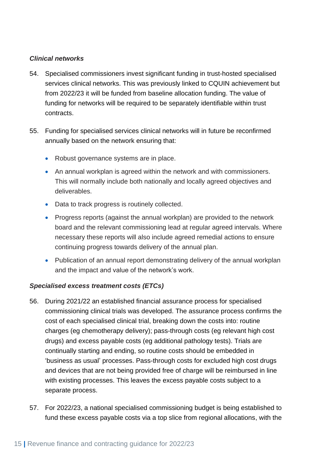#### *Clinical networks*

- 54. Specialised commissioners invest significant funding in trust-hosted specialised services clinical networks. This was previously linked to CQUIN achievement but from 2022/23 it will be funded from baseline allocation funding. The value of funding for networks will be required to be separately identifiable within trust contracts.
- 55. Funding for specialised services clinical networks will in future be reconfirmed annually based on the network ensuring that:
	- Robust governance systems are in place.
	- An annual workplan is agreed within the network and with commissioners. This will normally include both nationally and locally agreed objectives and deliverables.
	- Data to track progress is routinely collected.
	- Progress reports (against the annual workplan) are provided to the network board and the relevant commissioning lead at regular agreed intervals. Where necessary these reports will also include agreed remedial actions to ensure continuing progress towards delivery of the annual plan.
	- Publication of an annual report demonstrating delivery of the annual workplan and the impact and value of the network's work.

#### *Specialised excess treatment costs (ETCs)*

- 56. During 2021/22 an established financial assurance process for specialised commissioning clinical trials was developed. The assurance process confirms the cost of each specialised clinical trial, breaking down the costs into: routine charges (eg chemotherapy delivery); pass-through costs (eg relevant high cost drugs) and excess payable costs (eg additional pathology tests). Trials are continually starting and ending, so routine costs should be embedded in 'business as usual' processes. Pass-through costs for excluded high cost drugs and devices that are not being provided free of charge will be reimbursed in line with existing processes. This leaves the excess payable costs subject to a separate process.
- 57. For 2022/23, a national specialised commissioning budget is being established to fund these excess payable costs via a top slice from regional allocations, with the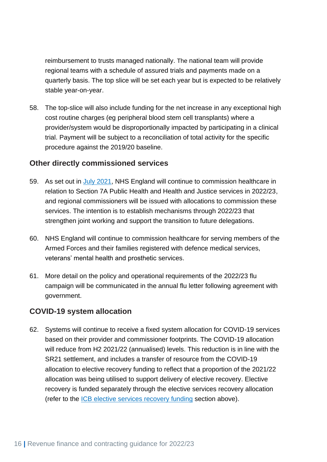reimbursement to trusts managed nationally. The national team will provide regional teams with a schedule of assured trials and payments made on a quarterly basis. The top slice will be set each year but is expected to be relatively stable year-on-year.

58. The top-slice will also include funding for the net increase in any exceptional high cost routine charges (eg peripheral blood stem cell transplants) where a provider/system would be disproportionally impacted by participating in a clinical trial. Payment will be subject to a reconciliation of total activity for the specific procedure against the 2019/20 baseline.

#### <span id="page-15-0"></span>**Other directly commissioned services**

- 59. As set out in *July 2021*, NHS England will continue to commission healthcare in relation to Section 7A Public Health and Health and Justice services in 2022/23, and regional commissioners will be issued with allocations to commission these services. The intention is to establish mechanisms through 2022/23 that strengthen joint working and support the transition to future delegations.
- 60. NHS England will continue to commission healthcare for serving members of the Armed Forces and their families registered with defence medical services, veterans' mental health and prosthetic services.
- 61. More detail on the policy and operational requirements of the 2022/23 flu campaign will be communicated in the annual flu letter following agreement with government.

#### <span id="page-15-1"></span>**COVID-19 system allocation**

62. Systems will continue to receive a fixed system allocation for COVID-19 services based on their provider and commissioner footprints. The COVID-19 allocation will reduce from H2 2021/22 (annualised) levels. This reduction is in line with the SR21 settlement, and includes a transfer of resource from the COVID-19 allocation to elective recovery funding to reflect that a proportion of the 2021/22 allocation was being utilised to support delivery of elective recovery. Elective recovery is funded separately through the elective services recovery allocation (refer to the [ICB elective services recovery funding](#page-7-0) section above).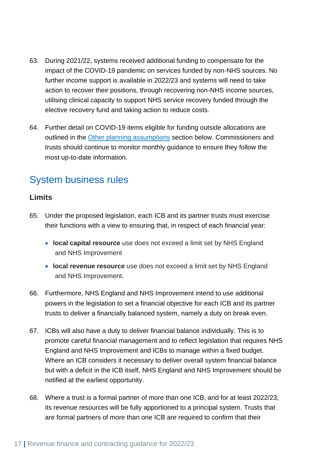- 63. During 2021/22, systems received additional funding to compensate for the impact of the COVID-19 pandemic on services funded by non-NHS sources. No further income support is available in 2022/23 and systems will need to take action to recover their positions, through recovering non-NHS income sources, utilising clinical capacity to support NHS service recovery funded through the elective recovery fund and taking action to reduce costs.
- 64. Further detail on COVID-19 items eligible for funding outside allocations are outlined in the [Other planning assumptions](#page-33-1) section below. Commissioners and trusts should continue to monitor monthly guidance to ensure they follow the most up-to-date information.

## <span id="page-16-0"></span>System business rules

#### <span id="page-16-1"></span>**Limits**

- 65. Under the proposed legislation, each ICB and its partner trusts must exercise their functions with a view to ensuring that, in respect of each financial year:
	- **local capital resource** use does not exceed a limit set by NHS England and NHS Improvement
	- **local revenue resource** use does not exceed a limit set by NHS England and NHS Improvement.
- 66. Furthermore, NHS England and NHS Improvement intend to use additional powers in the legislation to set a financial objective for each ICB and its partner trusts to deliver a financially balanced system, namely a duty on break even.
- 67. ICBs will also have a duty to deliver financial balance individually. This is to promote careful financial management and to reflect legislation that requires NHS England and NHS Improvement and ICBs to manage within a fixed budget. Where an ICB considers it necessary to deliver overall system financial balance but with a deficit in the ICB itself, NHS England and NHS Improvement should be notified at the earliest opportunity.
- 68. Where a trust is a formal partner of more than one ICB, and for at least 2022/23, its revenue resources will be fully apportioned to a principal system. Trusts that are formal partners of more than one ICB are required to confirm that their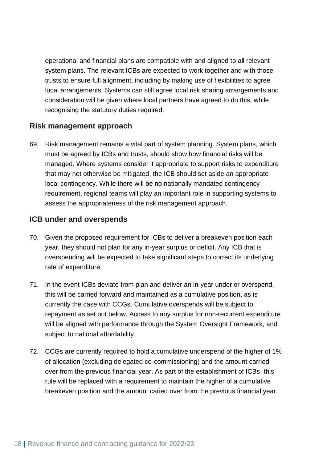operational and financial plans are compatible with and aligned to all relevant system plans. The relevant ICBs are expected to work together and with those trusts to ensure full alignment, including by making use of flexibilities to agree local arrangements. Systems can still agree local risk sharing arrangements and consideration will be given where local partners have agreed to do this, while recognising the statutory duties required.

#### <span id="page-17-0"></span>**Risk management approach**

69. Risk management remains a vital part of system planning. System plans, which must be agreed by ICBs and trusts, should show how financial risks will be managed. Where systems consider it appropriate to support risks to expenditure that may not otherwise be mitigated, the ICB should set aside an appropriate local contingency. While there will be no nationally mandated contingency requirement, regional teams will play an important role in supporting systems to assess the appropriateness of the risk management approach.

#### <span id="page-17-1"></span>**ICB under and overspends**

- 70. Given the proposed requirement for ICBs to deliver a breakeven position each year, they should not plan for any in-year surplus or deficit. Any ICB that is overspending will be expected to take significant steps to correct its underlying rate of expenditure.
- 71. In the event ICBs deviate from plan and deliver an in-year under or overspend, this will be carried forward and maintained as a cumulative position, as is currently the case with CCGs. Cumulative overspends will be subject to repayment as set out below. Access to any surplus for non-recurrent expenditure will be aligned with performance through the System Oversight Framework, and subject to national affordability.
- 72. CCGs are currently required to hold a cumulative underspend of the higher of 1% of allocation (excluding delegated co-commissioning) and the amount carried over from the previous financial year. As part of the establishment of ICBs, this rule will be replaced with a requirement to maintain the higher of a cumulative breakeven position and the amount caried over from the previous financial year.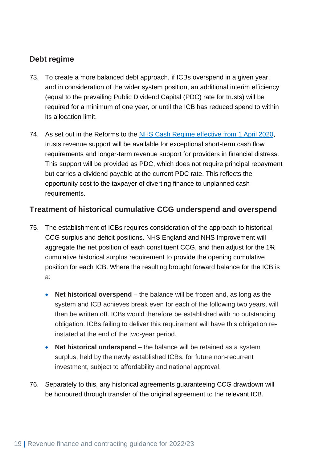#### <span id="page-18-0"></span>**Debt regime**

- 73. To create a more balanced debt approach, if ICBs overspend in a given year, and in consideration of the wider system position, an additional interim efficiency (equal to the prevailing Public Dividend Capital (PDC) rate for trusts) will be required for a minimum of one year, or until the ICB has reduced spend to within its allocation limit.
- 74. As set out in the Reforms to the [NHS Cash Regime effective](https://www.england.nhs.uk/wp-content/uploads/2020/04/C0096-Cash-regime-guidance-1-April-2020.pdf) from 1 April 2020, trusts revenue support will be available for exceptional short-term cash flow requirements and longer-term revenue support for providers in financial distress. This support will be provided as PDC, which does not require principal repayment but carries a dividend payable at the current PDC rate. This reflects the opportunity cost to the taxpayer of diverting finance to unplanned cash requirements.

#### <span id="page-18-1"></span>**Treatment of historical cumulative CCG underspend and overspend**

- 75. The establishment of ICBs requires consideration of the approach to historical CCG surplus and deficit positions. NHS England and NHS Improvement will aggregate the net position of each constituent CCG, and then adjust for the 1% cumulative historical surplus requirement to provide the opening cumulative position for each ICB. Where the resulting brought forward balance for the ICB is a:
	- **Net historical overspend** the balance will be frozen and, as long as the system and ICB achieves break even for each of the following two years, will then be written off. ICBs would therefore be established with no outstanding obligation. ICBs failing to deliver this requirement will have this obligation reinstated at the end of the two-year period.
	- **Net historical underspend** the balance will be retained as a system surplus, held by the newly established ICBs, for future non-recurrent investment, subject to affordability and national approval.
- 76. Separately to this, any historical agreements guaranteeing CCG drawdown will be honoured through transfer of the original agreement to the relevant ICB.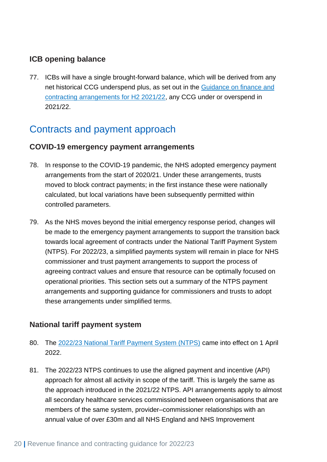#### <span id="page-19-0"></span>**ICB opening balance**

77. ICBs will have a single brought-forward balance, which will be derived from any net historical CCG underspend plus, as set out in the [Guidance on finance and](https://www.england.nhs.uk/wp-content/uploads/2021/09/C1406-guidance-on-finance-and-contracting-arrangements-h2-21-22.pdf)  [contracting arrangements for H2 2021/22,](https://www.england.nhs.uk/wp-content/uploads/2021/09/C1406-guidance-on-finance-and-contracting-arrangements-h2-21-22.pdf) any CCG under or overspend in 2021/22.

## <span id="page-19-1"></span>Contracts and payment approach

#### <span id="page-19-2"></span>**COVID-19 emergency payment arrangements**

- 78. In response to the COVID-19 pandemic, the NHS adopted emergency payment arrangements from the start of 2020/21. Under these arrangements, trusts moved to block contract payments; in the first instance these were nationally calculated, but local variations have been subsequently permitted within controlled parameters.
- 79. As the NHS moves beyond the initial emergency response period, changes will be made to the emergency payment arrangements to support the transition back towards local agreement of contracts under the National Tariff Payment System (NTPS). For 2022/23, a simplified payments system will remain in place for NHS commissioner and trust payment arrangements to support the process of agreeing contract values and ensure that resource can be optimally focused on operational priorities. This section sets out a summary of the NTPS payment arrangements and supporting guidance for commissioners and trusts to adopt these arrangements under simplified terms.

#### <span id="page-19-3"></span>**National tariff payment system**

- 80. The [2022/23 National Tariff Payment System \(NTPS\)](https://www.england.nhs.uk/pay-syst/national-tariff/national-tariff-payment-system/) came into effect on 1 April 2022.
- 81. The 2022/23 NTPS continues to use the aligned payment and incentive (API) approach for almost all activity in scope of the tariff. This is largely the same as the approach introduced in the 2021/22 NTPS. API arrangements apply to almost all secondary healthcare services commissioned between organisations that are members of the same system, provider–commissioner relationships with an annual value of over £30m and all NHS England and NHS Improvement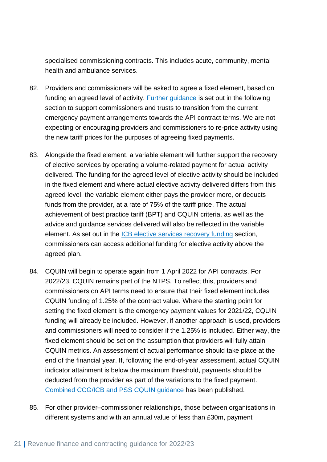specialised commissioning contracts. This includes acute, community, mental health and ambulance services.

- 82. Providers and commissioners will be asked to agree a fixed element, based on funding an agreed level of activity. **Further guidance** is set out in the following section to support commissioners and trusts to transition from the current emergency payment arrangements towards the API contract terms. We are not expecting or encouraging providers and commissioners to re-price activity using the new tariff prices for the purposes of agreeing fixed payments.
- 83. Alongside the fixed element, a variable element will further support the recovery of elective services by operating a volume-related payment for actual activity delivered. The funding for the agreed level of elective activity should be included in the fixed element and where actual elective activity delivered differs from this agreed level, the variable element either pays the provider more, or deducts funds from the provider, at a rate of 75% of the tariff price. The actual achievement of best practice tariff (BPT) and CQUIN criteria, as well as the advice and guidance services delivered will also be reflected in the variable element. As set out in the [ICB elective services recovery funding](#page-7-0) section, commissioners can access additional funding for elective activity above the agreed plan.
- 84. CQUIN will begin to operate again from 1 April 2022 for API contracts. For 2022/23, CQUIN remains part of the NTPS. To reflect this, providers and commissioners on API terms need to ensure that their fixed element includes CQUIN funding of 1.25% of the contract value. Where the starting point for setting the fixed element is the emergency payment values for 2021/22, CQUIN funding will already be included. However, if another approach is used, providers and commissioners will need to consider if the 1.25% is included. Either way, the fixed element should be set on the assumption that providers will fully attain CQUIN metrics. An assessment of actual performance should take place at the end of the financial year. If, following the end-of-year assessment, actual CQUIN indicator attainment is below the maximum threshold, payments should be deducted from the provider as part of the variations to the fixed payment. [Combined CCG/ICB and PSS CQUIN guidance](https://www.england.nhs.uk/nhs-standard-contract/cquin/2022-23-cquin/) has been published.
- 85. For other provider–commissioner relationships, those between organisations in different systems and with an annual value of less than £30m, payment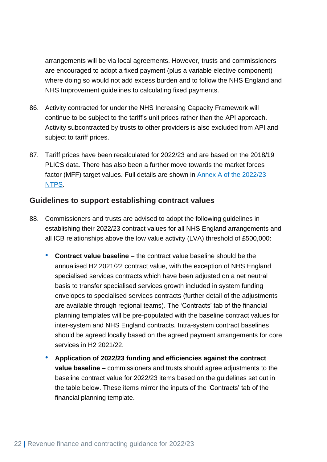arrangements will be via local agreements. However, trusts and commissioners are encouraged to adopt a fixed payment (plus a variable elective component) where doing so would not add excess burden and to follow the NHS England and NHS Improvement guidelines to calculating fixed payments.

- 86. Activity contracted for under the NHS Increasing Capacity Framework will continue to be subject to the tariff's unit prices rather than the API approach. Activity subcontracted by trusts to other providers is also excluded from API and subject to tariff prices.
- 87. Tariff prices have been recalculated for 2022/23 and are based on the 2018/19 PLICS data. There has also been a further move towards the market forces factor (MFF) target values. Full details are shown in [Annex A of the 2022/23](https://www.england.nhs.uk/pay-syst/national-tariff/national-tariff-payment-system/)  [NTPS.](https://www.england.nhs.uk/pay-syst/national-tariff/national-tariff-payment-system/)

#### <span id="page-21-0"></span>**Guidelines to support establishing contract values**

- 88. Commissioners and trusts are advised to adopt the following guidelines in establishing their 2022/23 contract values for all NHS England arrangements and all ICB relationships above the low value activity (LVA) threshold of £500,000:
	- **Contract value baseline** the contract value baseline should be the annualised H2 2021/22 contract value, with the exception of NHS England specialised services contracts which have been adjusted on a net neutral basis to transfer specialised services growth included in system funding envelopes to specialised services contracts (further detail of the adjustments are available through regional teams). The 'Contracts' tab of the financial planning templates will be pre-populated with the baseline contract values for inter-system and NHS England contracts. Intra-system contract baselines should be agreed locally based on the agreed payment arrangements for core services in H2 2021/22.
	- **Application of 2022/23 funding and efficiencies against the contract value baseline** – commissioners and trusts should agree adjustments to the baseline contract value for 2022/23 items based on the guidelines set out in the table below. These items mirror the inputs of the 'Contracts' tab of the financial planning template.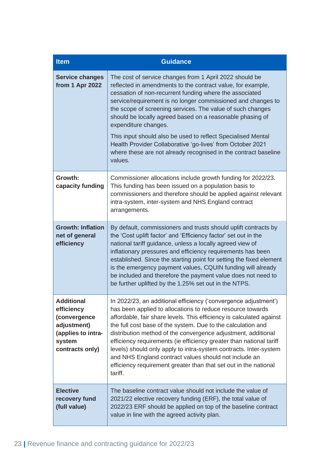| <b>Item</b>                                                                                                       | <b>Guidance</b>                                                                                                                                                                                                                                                                                                                                                                                                                                                                                                                                                                                                            |  |
|-------------------------------------------------------------------------------------------------------------------|----------------------------------------------------------------------------------------------------------------------------------------------------------------------------------------------------------------------------------------------------------------------------------------------------------------------------------------------------------------------------------------------------------------------------------------------------------------------------------------------------------------------------------------------------------------------------------------------------------------------------|--|
| <b>Service changes</b><br>from 1 Apr 2022                                                                         | The cost of service changes from 1 April 2022 should be<br>reflected in amendments to the contract value, for example,<br>cessation of non-recurrent funding where the associated<br>service/requirement is no longer commissioned and changes to<br>the scope of screening services. The value of such changes<br>should be locally agreed based on a reasonable phasing of<br>expenditure changes.<br>This input should also be used to reflect Specialised Mental<br>Health Provider Collaborative 'go-lives' from October 2021<br>where these are not already recognised in the contract baseline<br>values.           |  |
| Growth:<br>capacity funding                                                                                       | Commissioner allocations include growth funding for 2022/23.<br>This funding has been issued on a population basis to<br>commissioners and therefore should be applied against relevant<br>intra-system, inter-system and NHS England contract<br>arrangements.                                                                                                                                                                                                                                                                                                                                                            |  |
| <b>Growth: Inflation</b><br>net of general<br>efficiency                                                          | By default, commissioners and trusts should uplift contracts by<br>the 'Cost uplift factor' and 'Efficiency factor' set out in the<br>national tariff guidance, unless a locally agreed view of<br>inflationary pressures and efficiency requirements has been<br>established. Since the starting point for setting the fixed element<br>is the emergency payment values, CQUIN funding will already<br>be included and therefore the payment value does not need to<br>be further uplifted by the 1.25% set out in the NTPS.                                                                                              |  |
| <b>Additional</b><br>efficiency<br>(convergence<br>adjustment)<br>(applies to intra-<br>system<br>contracts only) | In 2022/23, an additional efficiency ('convergence adjustment')<br>has been applied to allocations to reduce resource towards<br>affordable, fair share levels. This efficiency is calculated against<br>the full cost base of the system. Due to the calculation and<br>distribution method of the convergence adjustment, additional<br>efficiency requirements (ie efficiency greater than national tariff<br>levels) should only apply to intra-system contracts. Inter-system<br>and NHS England contract values should not include an<br>efficiency requirement greater than that set out in the national<br>tariff. |  |
| <b>Elective</b><br>recovery fund<br>(full value)                                                                  | The baseline contract value should not include the value of<br>2021/22 elective recovery funding (ERF), the total value of<br>2022/23 ERF should be applied on top of the baseline contract<br>value in line with the agreed activity plan.                                                                                                                                                                                                                                                                                                                                                                                |  |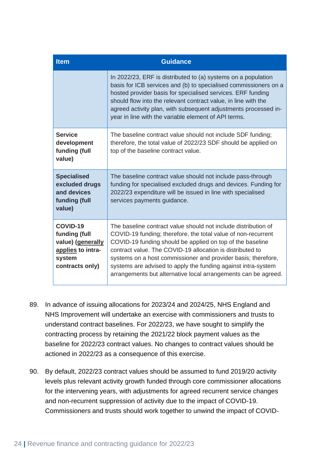| <b>Item</b><br><b>Guidance</b>                                                                   |                                                                                                                                                                                                                                                                                                                                                                                                                                                               |
|--------------------------------------------------------------------------------------------------|---------------------------------------------------------------------------------------------------------------------------------------------------------------------------------------------------------------------------------------------------------------------------------------------------------------------------------------------------------------------------------------------------------------------------------------------------------------|
|                                                                                                  | In 2022/23, ERF is distributed to (a) systems on a population<br>basis for ICB services and (b) to specialised commissioners on a<br>hosted provider basis for specialised services. ERF funding<br>should flow into the relevant contract value, in line with the<br>agreed activity plan, with subsequent adjustments processed in-<br>year in line with the variable element of API terms.                                                                 |
| <b>Service</b><br>development<br>funding (full<br>value)                                         | The baseline contract value should not include SDF funding;<br>therefore, the total value of 2022/23 SDF should be applied on<br>top of the baseline contract value.                                                                                                                                                                                                                                                                                          |
| <b>Specialised</b><br>excluded drugs<br>and devices<br>funding (full<br>value)                   | The baseline contract value should not include pass-through<br>funding for specialised excluded drugs and devices. Funding for<br>2022/23 expenditure will be issued in line with specialised<br>services payments guidance.                                                                                                                                                                                                                                  |
| COVID-19<br>funding (full<br>value) (generally<br>applies to intra-<br>system<br>contracts only) | The baseline contract value should not include distribution of<br>COVID-19 funding; therefore, the total value of non-recurrent<br>COVID-19 funding should be applied on top of the baseline<br>contract value. The COVID-19 allocation is distributed to<br>systems on a host commissioner and provider basis; therefore,<br>systems are advised to apply the funding against intra-system<br>arrangements but alternative local arrangements can be agreed. |

- 89. In advance of issuing allocations for 2023/24 and 2024/25, NHS England and NHS Improvement will undertake an exercise with commissioners and trusts to understand contract baselines. For 2022/23, we have sought to simplify the contracting process by retaining the 2021/22 block payment values as the baseline for 2022/23 contract values. No changes to contract values should be actioned in 2022/23 as a consequence of this exercise.
- 90. By default, 2022/23 contract values should be assumed to fund 2019/20 activity levels plus relevant activity growth funded through core commissioner allocations for the intervening years, with adjustments for agreed recurrent service changes and non-recurrent suppression of activity due to the impact of COVID-19. Commissioners and trusts should work together to unwind the impact of COVID-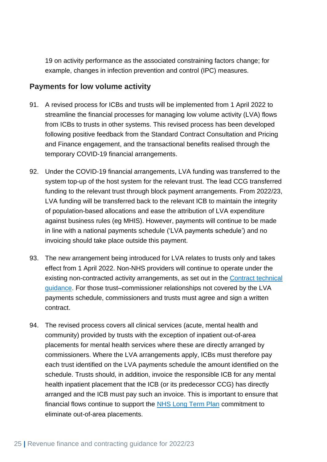19 on activity performance as the associated constraining factors change; for example, changes in infection prevention and control (IPC) measures.

#### <span id="page-24-0"></span>**Payments for low volume activity**

- 91. A revised process for ICBs and trusts will be implemented from 1 April 2022 to streamline the financial processes for managing low volume activity (LVA) flows from ICBs to trusts in other systems. This revised process has been developed following positive feedback from the Standard Contract Consultation and Pricing and Finance engagement, and the transactional benefits realised through the temporary COVID-19 financial arrangements.
- 92. Under the COVID-19 financial arrangements, LVA funding was transferred to the system top-up of the host system for the relevant trust. The lead CCG transferred funding to the relevant trust through block payment arrangements. From 2022/23, LVA funding will be transferred back to the relevant ICB to maintain the integrity of population-based allocations and ease the attribution of LVA expenditure against business rules (eg MHIS). However, payments will continue to be made in line with a national payments schedule ('LVA payments schedule') and no invoicing should take place outside this payment.
- 93. The new arrangement being introduced for LVA relates to trusts only and takes effect from 1 April 2022. Non-NHS providers will continue to operate under the existing non-contracted activity arrangements, as set out in the [Contract technical](https://www.england.nhs.uk/nhs-standard-contract/)  [guidance.](https://www.england.nhs.uk/nhs-standard-contract/) For those trust–commissioner relationships not covered by the LVA payments schedule, commissioners and trusts must agree and sign a written contract.
- 94. The revised process covers all clinical services (acute, mental health and community) provided by trusts with the exception of inpatient out-of-area placements for mental health services where these are directly arranged by commissioners. Where the LVA arrangements apply, ICBs must therefore pay each trust identified on the LVA payments schedule the amount identified on the schedule. Trusts should, in addition, invoice the responsible ICB for any mental health inpatient placement that the ICB (or its predecessor CCG) has directly arranged and the ICB must pay such an invoice. This is important to ensure that financial flows continue to support the [NHS Long Term Plan](https://www.longtermplan.nhs.uk/online-version/chapter-3-further-progress-on-care-quality-and-outcomes/better-care-for-major-health-conditions/adult-mental-health-services/) commitment to eliminate out-of-area placements.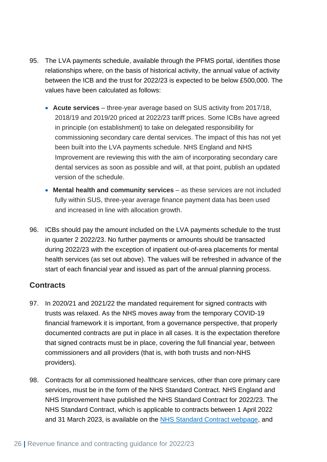- 95. The LVA payments schedule, available through the PFMS portal, identifies those relationships where, on the basis of historical activity, the annual value of activity between the ICB and the trust for 2022/23 is expected to be below £500,000. The values have been calculated as follows:
	- **Acute services** three-year average based on SUS activity from 2017/18, 2018/19 and 2019/20 priced at 2022/23 tariff prices. Some ICBs have agreed in principle (on establishment) to take on delegated responsibility for commissioning secondary care dental services. The impact of this has not yet been built into the LVA payments schedule. NHS England and NHS Improvement are reviewing this with the aim of incorporating secondary care dental services as soon as possible and will, at that point, publish an updated version of the schedule.
	- **Mental health and community services** as these services are not included fully within SUS, three-year average finance payment data has been used and increased in line with allocation growth.
- 96. ICBs should pay the amount included on the LVA payments schedule to the trust in quarter 2 2022/23. No further payments or amounts should be transacted during 2022/23 with the exception of inpatient out-of-area placements for mental health services (as set out above). The values will be refreshed in advance of the start of each financial year and issued as part of the annual planning process.

#### <span id="page-25-0"></span>**Contracts**

- 97. In 2020/21 and 2021/22 the mandated requirement for signed contracts with trusts was relaxed. As the NHS moves away from the temporary COVID-19 financial framework it is important, from a governance perspective, that properly documented contracts are put in place in all cases. It is the expectation therefore that signed contracts must be in place, covering the full financial year, between commissioners and all providers (that is, with both trusts and non-NHS providers).
- 98. Contracts for all commissioned healthcare services, other than core primary care services, must be in the form of the NHS Standard Contract. NHS England and NHS Improvement have published the [NHS Standard Contract for 2022/23.](https://www.england.nhs.uk/nhs-standard-contract/) The NHS Standard Contract, which is applicable to contracts between 1 April 2022 and 31 March 2023, is available on the [NHS Standard Contract webpage,](https://www.england.nhs.uk/nhs-standard-contract/) and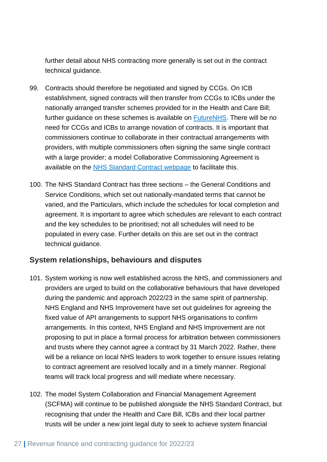further detail about NHS contracting more generally is set out in the [contract](https://www.england.nhs.uk/nhs-standard-contract/)  [technical guidance.](https://www.england.nhs.uk/nhs-standard-contract/)

- 99. Contracts should therefore be negotiated and signed by CCGs. On ICB establishment, signed contracts will then transfer from CCGs to ICBs under the nationally arranged transfer schemes provided for in the Health and Care Bill; further guidance on these schemes is available on [FutureNHS.](https://future.nhs.uk/) There will be no need for CCGs and ICBs to arrange novation of contracts. It is important that commissioners continue to collaborate in their contractual arrangements with providers, with multiple commissioners often signing the same single contract with a large provider; a model Collaborative Commissioning Agreement is available on the [NHS Standard Contract webpage](https://www.england.nhs.uk/nhs-standard-contract/) to facilitate this.
- 100. The NHS Standard Contract has three sections the General Conditions and Service Conditions, which set out nationally-mandated terms that cannot be varied, and the Particulars, which include the schedules for local completion and agreement. It is important to agree which schedules are relevant to each contract and the key schedules to be prioritised; not all schedules will need to be populated in every case. Further details on this are set out in the [contract](https://www.england.nhs.uk/nhs-standard-contract/)  [technical guidance.](https://www.england.nhs.uk/nhs-standard-contract/)

#### <span id="page-26-0"></span>**System relationships, behaviours and disputes**

- 101. System working is now well established across the NHS, and commissioners and providers are urged to build on the collaborative behaviours that have developed during the pandemic and approach 2022/23 in the same spirit of partnership. NHS England and NHS Improvement have set out guidelines for agreeing the fixed value of API arrangements to support NHS organisations to confirm arrangements. In this context, NHS England and NHS Improvement are not proposing to put in place a formal process for arbitration between commissioners and trusts where they cannot agree a contract by 31 March 2022. Rather, there will be a reliance on local NHS leaders to work together to ensure issues relating to contract agreement are resolved locally and in a timely manner. Regional teams will track local progress and will mediate where necessary.
- 102. The model System Collaboration and Financial Management Agreement (SCFMA) will continue to be published alongside the NHS Standard Contract, but recognising that under the Health and Care Bill, ICBs and their local partner trusts will be under a new joint legal duty to seek to achieve system financial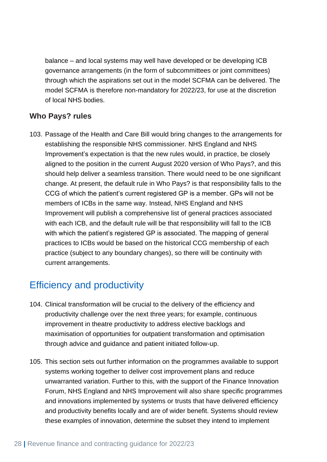balance – and local systems may well have developed or be developing ICB governance arrangements (in the form of subcommittees or joint committees) through which the aspirations set out in the model SCFMA can be delivered. The model SCFMA is therefore non-mandatory for 2022/23, for use at the discretion of local NHS bodies.

#### <span id="page-27-0"></span>**Who Pays? rules**

103. Passage of the Health and Care Bill would bring changes to the arrangements for establishing the responsible NHS commissioner. NHS England and NHS Improvement's expectation is that the new rules would, in practice, be closely aligned to the position in the current [August 2020 version of Who Pays?,](https://www.england.nhs.uk/publication/who-pays-determining-responsibility-for-nhs-payments-to-providers/) and this should help deliver a seamless transition. There would need to be one significant change. At present, the default rule in Who Pays? is that responsibility falls to the CCG of which the patient's current registered GP is a member. GPs will not be members of ICBs in the same way. Instead, NHS England and NHS Improvement will publish a comprehensive list of general practices associated with each ICB, and the default rule will be that responsibility will fall to the ICB with which the patient's registered GP is associated. The mapping of general practices to ICBs would be based on the historical CCG membership of each practice (subject to any boundary changes), so there will be continuity with current arrangements.

## <span id="page-27-1"></span>Efficiency and productivity

- 104. Clinical transformation will be crucial to the delivery of the efficiency and productivity challenge over the next three years; for example, continuous improvement in theatre productivity to address elective backlogs and maximisation of opportunities for outpatient transformation and optimisation through advice and guidance and patient initiated follow-up.
- 105. This section sets out further information on the programmes available to support systems working together to deliver cost improvement plans and reduce unwarranted variation. Further to this, with the support of the Finance Innovation Forum, NHS England and NHS Improvement will also share specific programmes and innovations implemented by systems or trusts that have delivered efficiency and productivity benefits locally and are of wider benefit. Systems should review these examples of innovation, determine the subset they intend to implement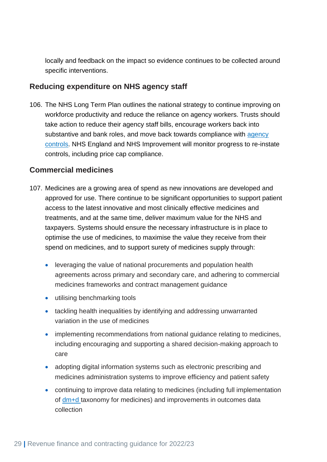locally and feedback on the impact so evidence continues to be collected around specific interventions.

#### <span id="page-28-0"></span>**Reducing expenditure on NHS agency staff**

106. The NHS Long Term Plan outlines the national strategy to continue improving on workforce productivity and reduce the reliance on agency workers. Trusts should take action to reduce their agency staff bills, encourage workers back into substantive and bank roles, and move back towards compliance with agency [controls.](https://www.england.nhs.uk/reducing-expenditure-on-nhs-agency-staff-rules-and-price-caps/) NHS England and NHS Improvement will monitor progress to re-instate controls, including price cap compliance.

#### <span id="page-28-1"></span>**Commercial medicines**

- 107. Medicines are a growing area of spend as new innovations are developed and approved for use. There continue to be significant opportunities to support patient access to the latest innovative and most clinically effective medicines and treatments, and at the same time, deliver maximum value for the NHS and taxpayers. Systems should ensure the necessary infrastructure is in place to optimise the use of medicines, to maximise the value they receive from their spend on medicines, and to support surety of medicines supply through:
	- leveraging the value of national procurements and population health agreements across primary and secondary care, and adhering to commercial medicines frameworks and contract management guidance
	- utilising benchmarking tools
	- tackling health inequalities by identifying and addressing unwarranted variation in the use of medicines
	- implementing recommendations from national guidance relating to medicines, including encouraging and supporting a shared decision-making approach to care
	- adopting digital information systems such as electronic prescribing and medicines administration systems to improve efficiency and patient safety
	- continuing to improve data relating to medicines (including full implementation of [dm+d](https://www.nhsbsa.nhs.uk/pharmacies-gp-practices-and-appliance-contractors/dictionary-medicines-and-devices-dmd) taxonomy for medicines) and improvements in outcomes data collection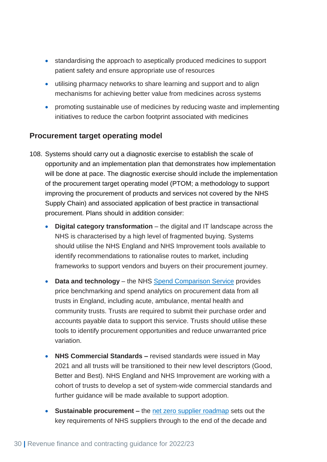- standardising the approach to aseptically produced medicines to support patient safety and ensure appropriate use of resources
- utilising pharmacy networks to share learning and support and to align mechanisms for achieving better value from medicines across systems
- promoting sustainable use of medicines by reducing waste and implementing initiatives to reduce the carbon footprint associated with medicines

#### <span id="page-29-0"></span>**Procurement target operating model**

- 108. Systems should carry out a diagnostic exercise to establish the scale of opportunity and an implementation plan that demonstrates how implementation will be done at pace. The diagnostic exercise should include the implementation of the procurement target operating model (PTOM; a methodology to support improving the procurement of products and services not covered by the NHS Supply Chain) and associated application of best practice in transactional procurement. Plans should in addition consider:
	- **Digital category transformation**  the digital and IT landscape across the NHS is characterised by a high level of fragmented buying. Systems should utilise the NHS England and NHS Improvement tools available to identify recommendations to rationalise routes to market, including frameworks to support vendors and buyers on their procurement journey.
	- **Data and technology** the NHS [Spend Comparison Service](https://digital.nhs.uk/data-and-information/data-collections-and-data-sets/data-collections/spend-comparison-service) provides price benchmarking and spend analytics on procurement data from all trusts in England, including acute, ambulance, mental health and community trusts. Trusts are required to submit their purchase order and accounts payable data to support this service. Trusts should utilise these tools to identify procurement opportunities and reduce unwarranted price variation.
	- **NHS Commercial Standards –** revised standards were issued in May 2021 and all trusts will be transitioned to their new level descriptors (Good, Better and Best). NHS England and NHS Improvement are working with a cohort of trusts to develop a set of system-wide commercial standards and further guidance will be made available to support adoption.
	- **Sustainable procurement –** the [net zero supplier roadmap](https://www.england.nhs.uk/wp-content/uploads/2021/09/item4-delivering-net-zero-nhs-updated.pdf) sets out the key requirements of NHS suppliers through to the end of the decade and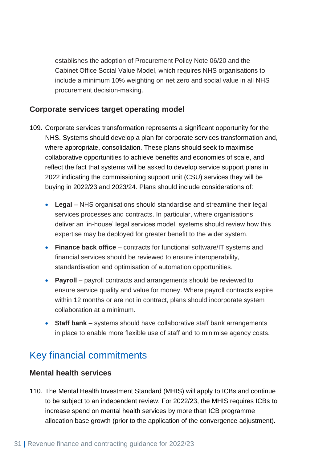establishes the adoption of Procurement Policy Note 06/20 and the Cabinet Office Social Value Model, which requires NHS organisations to include a minimum 10% weighting on net zero and social value in all NHS procurement decision-making.

#### <span id="page-30-0"></span>**Corporate services target operating model**

- 109. Corporate services transformation represents a significant opportunity for the NHS. Systems should develop a plan for corporate services transformation and, where appropriate, consolidation. These plans should seek to maximise collaborative opportunities to achieve benefits and economies of scale, and reflect the fact that systems will be asked to develop service support plans in 2022 indicating the commissioning support unit (CSU) services they will be buying in 2022/23 and 2023/24. Plans should include considerations of:
	- Legal NHS organisations should standardise and streamline their legal services processes and contracts. In particular, where organisations deliver an 'in-house' legal services model, systems should review how this expertise may be deployed for greater benefit to the wider system.
	- **Finance back office** contracts for functional software/IT systems and financial services should be reviewed to ensure interoperability, standardisation and optimisation of automation opportunities.
	- **Payroll** payroll contracts and arrangements should be reviewed to ensure service quality and value for money. Where payroll contracts expire within 12 months or are not in contract, plans should incorporate system collaboration at a minimum.
	- **Staff bank** systems should have collaborative staff bank arrangements in place to enable more flexible use of staff and to minimise agency costs.

## <span id="page-30-1"></span>Key financial commitments

#### <span id="page-30-2"></span>**Mental health services**

110. The Mental Health Investment Standard (MHIS) will apply to ICBs and continue to be subject to an independent review. For 2022/23, the MHIS requires ICBs to increase spend on mental health services by more than ICB programme allocation base growth (prior to the application of the convergence adjustment).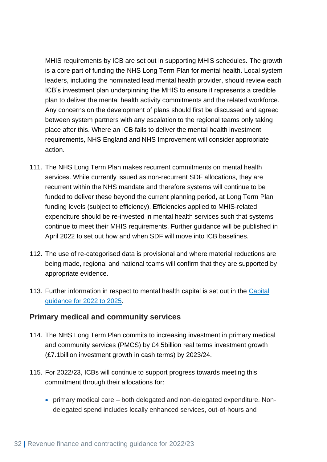MHIS requirements by ICB are set out in supporting MHIS schedules. The growth is a core part of funding the NHS Long Term Plan for mental health. Local system leaders, including the nominated lead mental health provider, should review each ICB's investment plan underpinning the MHIS to ensure it represents a credible plan to deliver the mental health activity commitments and the related workforce. Any concerns on the development of plans should first be discussed and agreed between system partners with any escalation to the regional teams only taking place after this. Where an ICB fails to deliver the mental health investment requirements, NHS England and NHS Improvement will consider appropriate action.

- 111. The NHS Long Term Plan makes recurrent commitments on mental health services. While currently issued as non-recurrent SDF allocations, they are recurrent within the NHS mandate and therefore systems will continue to be funded to deliver these beyond the current planning period, at Long Term Plan funding levels (subject to efficiency). Efficiencies applied to MHIS-related expenditure should be re-invested in mental health services such that systems continue to meet their MHIS requirements. Further guidance will be published in April 2022 to set out how and when SDF will move into ICB baselines.
- 112. The use of re-categorised data is provisional and where material reductions are being made, regional and national teams will confirm that they are supported by appropriate evidence.
- 113. Further information in respect to mental health capital is set out in the Capital [guidance for 2022 to 2025.](https://www.england.nhs.uk/publication/planning-guidance-capital-guidance-for-2022-25/)

#### <span id="page-31-0"></span>**Primary medical and community services**

- 114. The NHS Long Term Plan commits to increasing investment in primary medical and community services (PMCS) by £4.5billion real terms investment growth (£7.1billion investment growth in cash terms) by 2023/24.
- 115. For 2022/23, ICBs will continue to support progress towards meeting this commitment through their allocations for:
	- primary medical care both delegated and non-delegated expenditure. Nondelegated spend includes locally enhanced services, out-of-hours and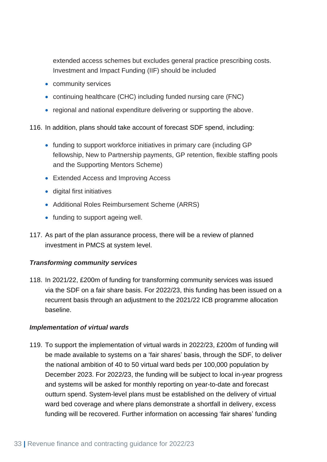extended access schemes but excludes general practice prescribing costs. Investment and Impact Funding (IIF) should be included

- community services
- continuing healthcare (CHC) including funded nursing care (FNC)
- regional and national expenditure delivering or supporting the above.

116. In addition, plans should take account of forecast SDF spend, including:

- funding to support workforce initiatives in primary care (including GP) fellowship, New to Partnership payments, GP retention, flexible staffing pools and the Supporting Mentors Scheme)
- Extended Access and Improving Access
- digital first initiatives
- Additional Roles Reimbursement Scheme (ARRS)
- funding to support ageing well.
- 117. As part of the plan assurance process, there will be a review of planned investment in PMCS at system level.

#### *Transforming community services*

118. In 2021/22, £200m of funding for transforming community services was issued via the SDF on a fair share basis. For 2022/23, this funding has been issued on a recurrent basis through an adjustment to the 2021/22 ICB programme allocation baseline.

#### *Implementation of virtual wards*

119. To support the implementation of virtual wards in 2022/23, £200m of funding will be made available to systems on a 'fair shares' basis, through the SDF, to deliver the national ambition of 40 to 50 virtual ward beds per 100,000 population by December 2023. For 2022/23, the funding will be subject to local in-year progress and systems will be asked for monthly reporting on year-to-date and forecast outturn spend. System-level plans must be established on the delivery of virtual ward bed coverage and where plans demonstrate a shortfall in delivery, excess funding will be recovered. Further information on accessing 'fair shares' funding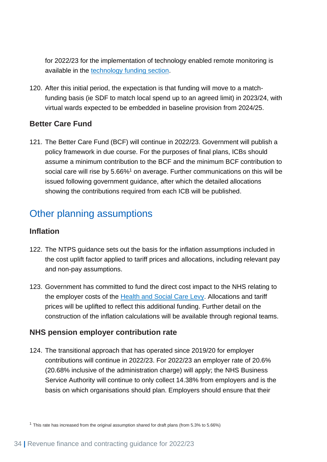for 2022/23 for the implementation of technology enabled remote monitoring is available in the [technology funding section.](#page-42-0)

120. After this initial period, the expectation is that funding will move to a matchfunding basis (ie SDF to match local spend up to an agreed limit) in 2023/24, with virtual wards expected to be embedded in baseline provision from 2024/25.

#### <span id="page-33-0"></span>**Better Care Fund**

121. The Better Care Fund (BCF) will continue in 2022/23. Government will publish a policy framework in due course. For the purposes of final plans, ICBs should assume a minimum contribution to the BCF and the minimum BCF contribution to social care will rise by 5.66%<sup>1</sup> on average. Further communications on this will be issued following government guidance, after which the detailed allocations showing the contributions required from each ICB will be published.

## <span id="page-33-1"></span>Other planning assumptions

#### <span id="page-33-2"></span>**Inflation**

- 122. The NTPS guidance sets out the basis for the inflation assumptions included in the cost uplift factor applied to tariff prices and allocations, including relevant pay and non-pay assumptions.
- 123. Government has committed to fund the direct cost impact to the NHS relating to the employer costs of the [Health and Social Care Levy.](https://www.gov.uk/government/publications/health-and-social-care-levy/health-and-social-care-levy) Allocations and tariff prices will be uplifted to reflect this additional funding. Further detail on the construction of the inflation calculations will be available through regional teams.

#### <span id="page-33-3"></span>**NHS pension employer contribution rate**

124. The transitional approach that has operated since 2019/20 for employer contributions will continue in 2022/23. For 2022/23 an employer rate of 20.6% (20.68% inclusive of the administration charge) will apply; the NHS Business Service Authority will continue to only collect 14.38% from employers and is the basis on which organisations should plan. Employers should ensure that their

<sup>1</sup> This rate has increased from the original assumption shared for draft plans (from 5.3% to 5.66%)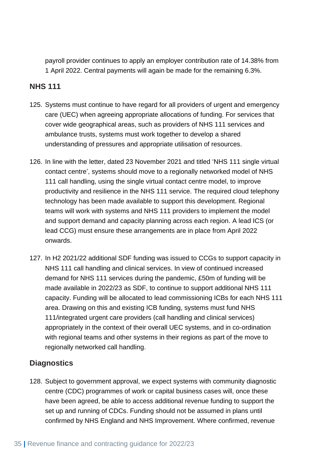payroll provider continues to apply an employer contribution rate of 14.38% from 1 April 2022. Central payments will again be made for the remaining 6.3%.

#### <span id="page-34-0"></span>**NHS 111**

- 125. Systems must continue to have regard for all providers of urgent and emergency care (UEC) when agreeing appropriate allocations of funding. For services that cover wide geographical areas, such as providers of NHS 111 services and ambulance trusts, systems must work together to develop a shared understanding of pressures and appropriate utilisation of resources.
- 126. In line with the letter, dated 23 November 2021 and titled 'NHS 111 single virtual contact centre', systems should move to a regionally networked model of NHS 111 call handling, using the single virtual contact centre model, to improve productivity and resilience in the NHS 111 service. The required cloud telephony technology has been made available to support this development. Regional teams will work with systems and NHS 111 providers to implement the model and support demand and capacity planning across each region. A lead ICS (or lead CCG) must ensure these arrangements are in place from April 2022 onwards.
- 127. In H2 2021/22 additional SDF funding was issued to CCGs to support capacity in NHS 111 call handling and clinical services. In view of continued increased demand for NHS 111 services during the pandemic, £50m of funding will be made available in 2022/23 as SDF, to continue to support additional NHS 111 capacity. Funding will be allocated to lead commissioning ICBs for each NHS 111 area. Drawing on this and existing ICB funding, systems must fund NHS 111/integrated urgent care providers (call handling and clinical services) appropriately in the context of their overall UEC systems, and in co-ordination with regional teams and other systems in their regions as part of the move to regionally networked call handling.

#### <span id="page-34-1"></span>**Diagnostics**

128. Subject to government approval, we expect systems with community diagnostic centre (CDC) programmes of work or capital business cases will, once these have been agreed, be able to access additional revenue funding to support the set up and running of CDCs. Funding should not be assumed in plans until confirmed by NHS England and NHS Improvement. Where confirmed, revenue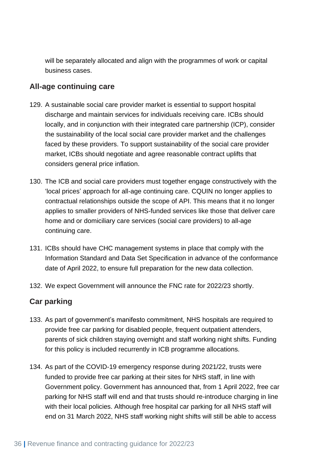will be separately allocated and align with the programmes of work or capital business cases.

#### <span id="page-35-0"></span>**All-age continuing care**

- 129. A sustainable social care provider market is essential to support hospital discharge and maintain services for individuals receiving care. ICBs should locally, and in conjunction with their integrated care partnership (ICP), consider the sustainability of the local social care provider market and the challenges faced by these providers. To support sustainability of the social care provider market, ICBs should negotiate and agree reasonable contract uplifts that considers general price inflation.
- 130. The ICB and social care providers must together engage constructively with the 'local prices' approach for all-age continuing care. CQUIN no longer applies to contractual relationships outside the scope of API. This means that it no longer applies to smaller providers of NHS-funded services like those that deliver care home and or domiciliary care services (social care providers) to all-age continuing care.
- 131. ICBs should have CHC management systems in place that comply with the Information Standard and Data Set Specification in advance of the conformance date of April 2022, to ensure full preparation for the new data collection.
- 132. We expect Government will announce the FNC rate for 2022/23 shortly.

#### <span id="page-35-1"></span>**Car parking**

- 133. As part of government's manifesto commitment, NHS hospitals are required to provide free car parking for disabled people, frequent outpatient attenders, parents of sick children staying overnight and staff working night shifts. Funding for this policy is included recurrently in ICB programme allocations.
- 134. As part of the COVID-19 emergency response during 2021/22, trusts were funded to provide free car parking at their sites for NHS staff, in line with Government policy. Government has announced that, from 1 April 2022, free car parking for NHS staff will end and that trusts should re-introduce charging in line with their local policies. Although free hospital car parking for all NHS staff will end on 31 March 2022, NHS staff working night shifts will still be able to access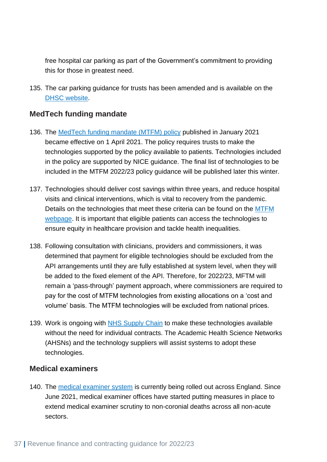free hospital car parking as part of the Government's commitment to providing this for those in greatest need.

135. The car parking guidance for trusts has been amended and is available on the [DHSC website.](https://www.gov.uk/government/publications/nhs-patient-visitor-and-staff-car-parking-principles/nhs-patient-visitor-and-staff-car-parking-principles)

#### <span id="page-36-0"></span>**MedTech funding mandate**

- 136. The [MedTech funding mandate \(MTFM\) policy](https://www.england.nhs.uk/aac/what-we-do/how-can-the-aac-help-me/the-medtech-funding-mandate/) published in January 2021 became effective on 1 April 2021. The policy requires trusts to make the technologies supported by the policy available to patients. Technologies included in the policy are supported by NICE guidance. The final list of technologies to be included in the MTFM 2022/23 policy guidance will be published later this winter.
- 137. Technologies should deliver cost savings within three years, and reduce hospital visits and clinical interventions, which is vital to recovery from the pandemic. Details on the technologies that meet these criteria can be found on the [MTFM](https://www.england.nhs.uk/aac/what-we-do/how-can-the-aac-help-me/the-medtech-funding-mandate/)  [webpage.](https://www.england.nhs.uk/aac/what-we-do/how-can-the-aac-help-me/the-medtech-funding-mandate/) It is important that eligible patients can access the technologies to ensure equity in healthcare provision and tackle health inequalities.
- 138. Following consultation with clinicians, providers and commissioners, it was determined that payment for eligible technologies should be excluded from the API arrangements until they are fully established at system level, when they will be added to the fixed element of the API. Therefore, for 2022/23, MFTM will remain a 'pass-through' payment approach, where commissioners are required to pay for the cost of MTFM technologies from existing allocations on a 'cost and volume' basis. The MTFM technologies will be excluded from national prices.
- 139. Work is ongoing with [NHS Supply Chain](https://www.supplychain.nhs.uk/programmes/medtech-funding-mandate/) to make these technologies available without the need for individual contracts. The Academic Health Science Networks (AHSNs) and the technology suppliers will assist systems to adopt these technologies.

#### <span id="page-36-1"></span>**Medical examiners**

140. The [medical examiner system](https://www.england.nhs.uk/establishing-medical-examiner-system-nhs/) is currently being rolled out across England. Since June 2021, medical examiner offices have started putting measures in place to extend medical examiner scrutiny to non-coronial deaths across all non-acute sectors.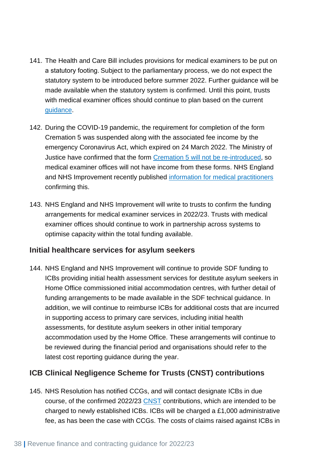- 141. The Health and Care Bill includes provisions for medical examiners to be put on a statutory footing. Subject to the parliamentary process, we do not expect the statutory system to be introduced before summer 2022. Further guidance will be made available when the statutory system is confirmed. Until this point, trusts with medical examiner offices should continue to plan based on the current [guidance.](https://www.england.nhs.uk/publication/system-letter-extending-medical-examiner-scrutiny-to-non-acute-settings/)
- 142. During the COVID-19 pandemic, the requirement for completion of the form Cremation 5 was suspended along with the associated fee income by the emergency Coronavirus Act, which expired on 24 March 2022. The Ministry of Justice have confirmed that the form [Cremation 5 will not be re-introduced,](https://www.legislation.gov.uk/uksi/2022/218/made) so medical examiner offices will not have income from these forms. NHS England and NHS Improvement recently published [information for medical practitioners](https://www.england.nhs.uk/coronavirus/publication/information-for-medical-practitioners-after-the-coronavirus-act-2020-expires/) confirming this.
- 143. NHS England and NHS Improvement will write to trusts to confirm the funding arrangements for medical examiner services in 2022/23. Trusts with medical examiner offices should continue to work in partnership across systems to optimise capacity within the total funding available.

#### <span id="page-37-0"></span>**Initial healthcare services for asylum seekers**

144. NHS England and NHS Improvement will continue to provide SDF funding to ICBs providing initial health assessment services for destitute asylum seekers in Home Office commissioned initial accommodation centres, with further detail of funding arrangements to be made available in the SDF technical guidance. In addition, we will continue to reimburse ICBs for additional costs that are incurred in supporting access to primary care services, including initial health assessments, for destitute asylum seekers in other initial temporary accommodation used by the Home Office. These arrangements will continue to be reviewed during the financial period and organisations should refer to the latest cost reporting guidance during the year.

#### <span id="page-37-1"></span>**ICB Clinical Negligence Scheme for Trusts (CNST) contributions**

145. NHS Resolution has notified CCGs, and will contact designate ICBs in due course, of the confirmed 2022/23 [CNST](https://resolution.nhs.uk/services/claims-management/clinical-schemes/clinical-negligence-scheme-for-trusts/) contributions, which are intended to be charged to newly established ICBs. ICBs will be charged a £1,000 administrative fee, as has been the case with CCGs. The costs of claims raised against ICBs in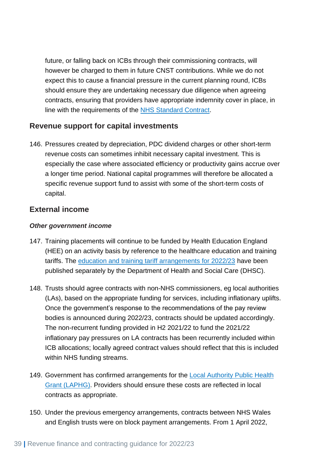future, or falling back on ICBs through their commissioning contracts, will however be charged to them in future CNST contributions. While we do not expect this to cause a financial pressure in the current planning round, ICBs should ensure they are undertaking necessary due diligence when agreeing contracts, ensuring that providers have appropriate indemnity cover in place, in line with the requirements of the [NHS Standard Contract.](https://www.england.nhs.uk/nhs-standard-contract/)

#### <span id="page-38-0"></span>**Revenue support for capital investments**

146. Pressures created by depreciation, PDC dividend charges or other short-term revenue costs can sometimes inhibit necessary capital investment. This is especially the case where associated efficiency or productivity gains accrue over a longer time period. National capital programmes will therefore be allocated a specific revenue support fund to assist with some of the short-term costs of capital.

#### <span id="page-38-1"></span>**External income**

#### *Other government income*

- 147. Training placements will continue to be funded by Health Education England (HEE) on an activity basis by reference to the healthcare education and training tariffs. The [education and training tariff arrangements for 2022/23](https://www.gov.uk/government/publications/healthcare-education-and-training-tariff-2022-to-2023) have been published separately by the Department of Health and Social Care (DHSC).
- 148. Trusts should agree contracts with non-NHS commissioners, eg local authorities (LAs), based on the appropriate funding for services, including inflationary uplifts. Once the government's response to the recommendations of the pay review bodies is announced during 2022/23, contracts should be updated accordingly. The non-recurrent funding provided in H2 2021/22 to fund the 2021/22 inflationary pay pressures on LA contracts has been recurrently included within ICB allocations; locally agreed contract values should reflect that this is included within NHS funding streams.
- 149. Government has confirmed arrangements for the [Local Authority Public Health](https://www.gov.uk/government/publications/public-health-grants-to-local-authorities-2022-to-2023/public-health-ringfenced-grant-2022-to-2023-local-authority-circular)  [Grant \(LAPHG\).](https://www.gov.uk/government/publications/public-health-grants-to-local-authorities-2022-to-2023/public-health-ringfenced-grant-2022-to-2023-local-authority-circular) Providers should ensure these costs are reflected in local contracts as appropriate.
- 150. Under the previous emergency arrangements, contracts between NHS Wales and English trusts were on block payment arrangements. From 1 April 2022,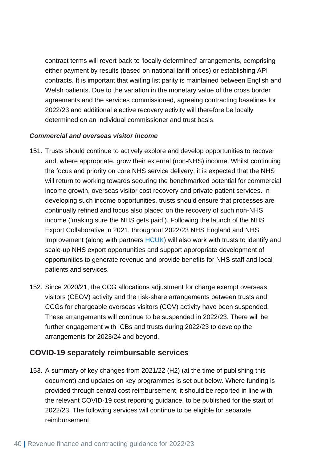contract terms will revert back to 'locally determined' arrangements, comprising either payment by results (based on national tariff prices) or establishing API contracts. It is important that waiting list parity is maintained between English and Welsh patients. Due to the variation in the monetary value of the cross border agreements and the services commissioned, agreeing contracting baselines for 2022/23 and additional elective recovery activity will therefore be locally determined on an individual commissioner and trust basis.

#### *Commercial and overseas visitor income*

- 151. Trusts should continue to actively explore and develop opportunities to recover and, where appropriate, grow their external (non-NHS) income. Whilst continuing the focus and priority on core NHS service delivery, it is expected that the NHS will return to working towards securing the benchmarked potential for commercial income growth, overseas visitor cost recovery and private patient services. In developing such income opportunities, trusts should ensure that processes are continually refined and focus also placed on the recovery of such non-NHS income ('making sure the NHS gets paid'). Following the launch of the NHS Export Collaborative in 2021, throughout 2022/23 NHS England and NHS Improvement (along with partners [HCUK\)](https://www.gov.uk/government/organisations/healthcare-uk/about) will also work with trusts to identify and scale-up NHS export opportunities and support appropriate development of opportunities to generate revenue and provide benefits for NHS staff and local patients and services.
- 152. Since 2020/21, the CCG allocations adjustment for charge exempt overseas visitors (CEOV) activity and the risk-share arrangements between trusts and CCGs for chargeable overseas visitors (COV) activity have been suspended. These arrangements will continue to be suspended in 2022/23. There will be further engagement with ICBs and trusts during 2022/23 to develop the arrangements for 2023/24 and beyond.

#### <span id="page-39-0"></span>**COVID-19 separately reimbursable services**

153. A summary of key changes from 2021/22 (H2) (at the time of publishing this document) and updates on key programmes is set out below. Where funding is provided through central cost reimbursement, it should be reported in line with the relevant COVID-19 cost reporting guidance, to be published for the start of 2022/23. The following services will continue to be eligible for separate reimbursement: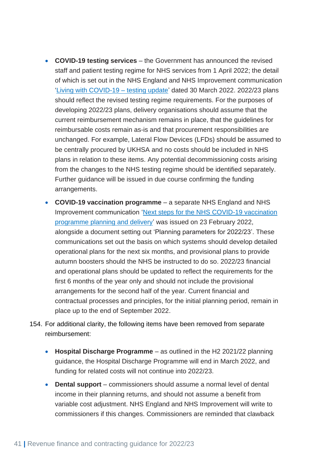- **COVID-19 testing services**  the Government has announced the revised staff and patient testing regime for NHS services from 1 April 2022; the detail of which is set out in the NHS England and NHS Improvement communication ['Living with COVID-19 –](https://www.england.nhs.uk/coronavirus/wp-content/uploads/sites/52/2022/03/C1621-living-with-COVID-19-testing-update-letter-30-march-2022.pdf) testing update' dated 30 March 2022. 2022/23 plans should reflect the revised testing regime requirements. For the purposes of developing 2022/23 plans, delivery organisations should assume that the current reimbursement mechanism remains in place, that the guidelines for reimbursable costs remain as-is and that procurement responsibilities are unchanged. For example, Lateral Flow Devices (LFDs) should be assumed to be centrally procured by UKHSA and no costs should be included in NHS plans in relation to these items. Any potential decommissioning costs arising from the changes to the NHS testing regime should be identified separately. Further guidance will be issued in due course confirming the funding arrangements.
- **COVID-19 vaccination programme**  a separate NHS England and NHS Improvement communication ['Next steps for the NHS COVID-19 vaccination](https://www.england.nhs.uk/coronavirus/documents/next-steps-for-the-nhs-covid-19-vaccination-programme-planning-and-delivery/)  [programme planning and delivery'](https://www.england.nhs.uk/coronavirus/documents/next-steps-for-the-nhs-covid-19-vaccination-programme-planning-and-delivery/) was issued on 23 February 2022, alongside a document setting out 'Planning parameters for 2022/23'. These communications set out the basis on which systems should develop detailed operational plans for the next six months, and provisional plans to provide autumn boosters should the NHS be instructed to do so. 2022/23 financial and operational plans should be updated to reflect the requirements for the first 6 months of the year only and should not include the provisional arrangements for the second half of the year. Current financial and contractual processes and principles, for the initial planning period, remain in place up to the end of September 2022.
- 154. For additional clarity, the following items have been removed from separate reimbursement:
	- **Hospital Discharge Programme** as outlined in the H2 2021/22 planning guidance, the Hospital Discharge Programme will end in March 2022, and funding for related costs will not continue into 2022/23.
	- **Dental support**  commissioners should assume a normal level of dental income in their planning returns, and should not assume a benefit from variable cost adjustment. NHS England and NHS Improvement will write to commissioners if this changes. Commissioners are reminded that clawback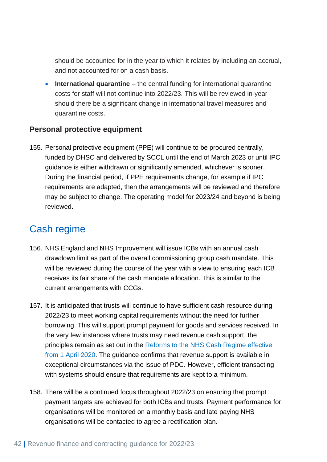should be accounted for in the year to which it relates by including an accrual, and not accounted for on a cash basis.

• **International quarantine** – the central funding for international quarantine costs for staff will not continue into 2022/23. This will be reviewed in-year should there be a significant change in international travel measures and quarantine costs.

#### <span id="page-41-0"></span>**Personal protective equipment**

155. Personal protective equipment (PPE) will continue to be procured centrally, funded by DHSC and delivered by SCCL until the end of March 2023 or until IPC guidance is either withdrawn or significantly amended, whichever is sooner. During the financial period, if PPE requirements change, for example if IPC requirements are adapted, then the arrangements will be reviewed and therefore may be subject to change. The operating model for 2023/24 and beyond is being reviewed.

## <span id="page-41-1"></span>Cash regime

- 156. NHS England and NHS Improvement will issue ICBs with an annual cash drawdown limit as part of the overall commissioning group cash mandate. This will be reviewed during the course of the year with a view to ensuring each ICB receives its fair share of the cash mandate allocation. This is similar to the current arrangements with CCGs.
- 157. It is anticipated that trusts will continue to have sufficient cash resource during 2022/23 to meet working capital requirements without the need for further borrowing. This will support prompt payment for goods and services received. In the very few instances where trusts may need revenue cash support, the principles remain as set out in the [Reforms to the NHS Cash Regime effective](https://www.england.nhs.uk/publication/guidance-on-the-cash-and-capital-regime-for-2020-21/)  [from 1 April 2020.](https://www.england.nhs.uk/publication/guidance-on-the-cash-and-capital-regime-for-2020-21/) The guidance confirms that revenue support is available in exceptional circumstances via the issue of PDC. However, efficient transacting with systems should ensure that requirements are kept to a minimum.
- 158. There will be a continued focus throughout 2022/23 on ensuring that prompt payment targets are achieved for both ICBs and trusts. Payment performance for organisations will be monitored on a monthly basis and late paying NHS organisations will be contacted to agree a rectification plan.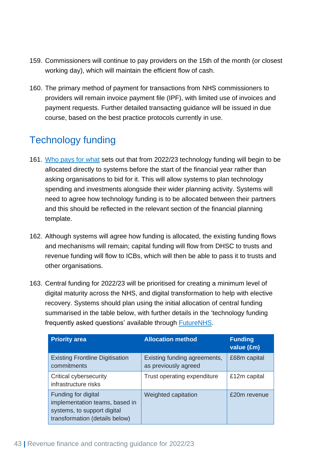- 159. Commissioners will continue to pay providers on the 15th of the month (or closest working day), which will maintain the efficient flow of cash.
- 160. The primary method of payment for transactions from NHS commissioners to providers will remain invoice payment file (IPF), with limited use of invoices and payment requests. Further detailed transacting guidance will be issued in due course, based on the best practice protocols currently in use.

## <span id="page-42-0"></span>Technology funding

- 161. [Who pays for what](https://www.nhsx.nhs.uk/digitise-connect-transform/who-pays-for-what/) sets out that from 2022/23 technology funding will begin to be allocated directly to systems before the start of the financial year rather than asking organisations to bid for it. This will allow systems to plan technology spending and investments alongside their wider planning activity. Systems will need to agree how technology funding is to be allocated between their partners and this should be reflected in the relevant section of the financial planning template.
- 162. Although systems will agree how funding is allocated, the existing funding flows and mechanisms will remain; capital funding will flow from DHSC to trusts and revenue funding will flow to ICBs, which will then be able to pass it to trusts and other organisations.
- 163. Central funding for 2022/23 will be prioritised for creating a minimum level of digital maturity across the NHS, and digital transformation to help with elective recovery. Systems should plan using the initial allocation of central funding summarised in the table below, with further details in the 'technology funding frequently asked questions' available through [FutureNHS.](https://future.nhs.uk/)

| <b>Priority area</b>                                                                                                   | <b>Allocation method</b>                             | <b>Funding</b><br>value (£m) |
|------------------------------------------------------------------------------------------------------------------------|------------------------------------------------------|------------------------------|
| <b>Existing Frontline Digitisation</b><br>commitments                                                                  | Existing funding agreements,<br>as previously agreed | £68m capital                 |
| <b>Critical cybersecurity</b><br>infrastructure risks                                                                  | Trust operating expenditure                          | £12m capital                 |
| Funding for digital<br>implementation teams, based in<br>systems, to support digital<br>transformation (details below) | Weighted capitation                                  | £20m revenue                 |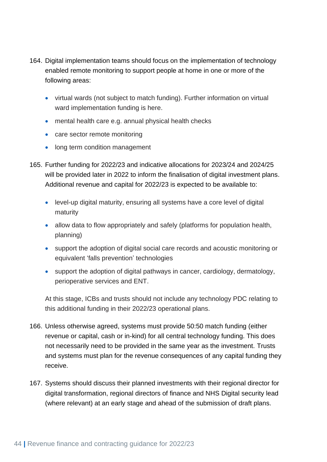- 164. Digital implementation teams should focus on the implementation of technology enabled remote monitoring to support people at home in one or more of the following areas:
	- virtual wards (not subject to match funding). [Further information on virtual](#page-31-0)  [ward implementation funding is here.](#page-31-0)
	- mental health care e.g. annual physical health checks
	- care sector remote monitoring
	- long term condition management
- 165. Further funding for 2022/23 and indicative allocations for 2023/24 and 2024/25 will be provided later in 2022 to inform the finalisation of digital investment plans. Additional revenue and capital for 2022/23 is expected to be available to:
	- level-up digital maturity, ensuring all systems have a core level of digital maturity
	- allow data to flow appropriately and safely (platforms for population health, planning)
	- support the adoption of digital social care records and acoustic monitoring or equivalent 'falls prevention' technologies
	- support the adoption of digital pathways in cancer, cardiology, dermatology, perioperative services and ENT.

At this stage, ICBs and trusts should not include any technology PDC relating to this additional funding in their 2022/23 operational plans.

- 166. Unless otherwise agreed, systems must provide 50:50 match funding (either revenue or capital, cash or in-kind) for all central technology funding. This does not necessarily need to be provided in the same year as the investment. Trusts and systems must plan for the revenue consequences of any capital funding they receive.
- 167. Systems should discuss their planned investments with their regional director for digital transformation, regional directors of finance and NHS Digital security lead (where relevant) at an early stage and ahead of the submission of draft plans.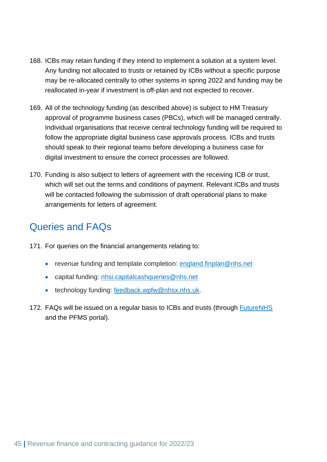- 168. ICBs may retain funding if they intend to implement a solution at a system level. Any funding not allocated to trusts or retained by ICBs without a specific purpose may be re-allocated centrally to other systems in spring 2022 and funding may be reallocated in-year if investment is off-plan and not expected to recover.
- 169. All of the technology funding (as described above) is subject to HM Treasury approval of programme business cases (PBCs), which will be managed centrally. Individual organisations that receive central technology funding will be required to follow the appropriate digital business case approvals process. ICBs and trusts should speak to their regional teams before developing a business case for digital investment to ensure the correct processes are followed.
- 170. Funding is also subject to letters of agreement with the receiving ICB or trust, which will set out the terms and conditions of payment. Relevant ICBs and trusts will be contacted following the submission of draft operational plans to make arrangements for letters of agreement.

## <span id="page-44-0"></span>Queries and FAQs

171. For queries on the financial arrangements relating to:

- revenue funding and template completion: [england.finplan@nhs.net](mailto:england.finplan@nhs.net)
- capital funding: [nhsi.capitalcashqueries@nhs.net](mailto:NHSI.CapitalCashQueries@nhs.net)
- technology funding: [feedback.wpfw@nhsx.nhs.uk.](mailto:feedback.wpfw@nhsx.nhs.uk)
- 172. FAQs will be issued on a regular basis to ICBs and trusts (through [FutureNHS](https://future.nhs.uk/) and the PFMS portal).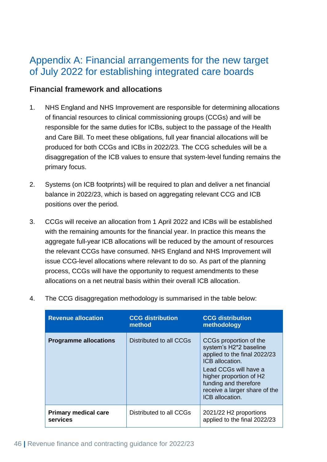## <span id="page-45-0"></span>Appendix A: Financial arrangements for the new target of July 2022 for establishing integrated care boards

#### <span id="page-45-1"></span>**Financial framework and allocations**

- 1. NHS England and NHS Improvement are responsible for determining allocations of financial resources to clinical commissioning groups (CCGs) and will be responsible for the same duties for ICBs, subject to the passage of the Health and Care Bill. To meet these obligations, full year financial allocations will be produced for both CCGs and ICBs in 2022/23. The CCG schedules will be a disaggregation of the ICB values to ensure that system-level funding remains the primary focus.
- 2. Systems (on ICB footprints) will be required to plan and deliver a net financial balance in 2022/23, which is based on aggregating relevant CCG and ICB positions over the period.
- 3. CCGs will receive an allocation from 1 April 2022 and ICBs will be established with the remaining amounts for the financial year. In practice this means the aggregate full-year ICB allocations will be reduced by the amount of resources the relevant CCGs have consumed. NHS England and NHS Improvement will issue CCG-level allocations where relevant to do so. As part of the planning process, CCGs will have the opportunity to request amendments to these allocations on a net neutral basis within their overall ICB allocation.

| <b>Revenue allocation</b>               | <b>CCG distribution</b><br>method | <b>CCG distribution</b><br>methodology                                                                                                                                                                                               |
|-----------------------------------------|-----------------------------------|--------------------------------------------------------------------------------------------------------------------------------------------------------------------------------------------------------------------------------------|
| <b>Programme allocations</b>            | Distributed to all CCGs           | CCGs proportion of the<br>system's H2*2 baseline<br>applied to the final 2022/23<br>ICB allocation.<br>Lead CCGs will have a<br>higher proportion of H2<br>funding and therefore<br>receive a larger share of the<br>ICB allocation. |
| <b>Primary medical care</b><br>services | Distributed to all CCGs           | 2021/22 H2 proportions<br>applied to the final 2022/23                                                                                                                                                                               |

4. The CCG disaggregation methodology is summarised in the table below: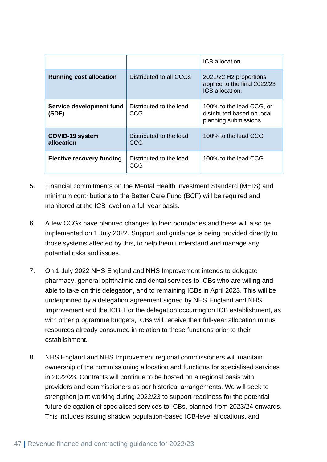|                                      |                                       | ICB allocation.                                                                |
|--------------------------------------|---------------------------------------|--------------------------------------------------------------------------------|
| <b>Running cost allocation</b>       | Distributed to all CCGs               | 2021/22 H2 proportions<br>applied to the final 2022/23<br>ICB allocation.      |
| Service development fund<br>(SDF)    | Distributed to the lead<br>CCG        | 100% to the lead CCG, or<br>distributed based on local<br>planning submissions |
| <b>COVID-19 system</b><br>allocation | Distributed to the lead<br>CCG        | 100% to the lead CCG                                                           |
| <b>Elective recovery funding</b>     | Distributed to the lead<br><b>CCG</b> | 100% to the lead CCG                                                           |

- 5. Financial commitments on the Mental Health Investment Standard (MHIS) and minimum contributions to the Better Care Fund (BCF) will be required and monitored at the ICB level on a full year basis.
- 6. A few CCGs have planned changes to their boundaries and these will also be implemented on 1 July 2022. Support and guidance is being provided directly to those systems affected by this, to help them understand and manage any potential risks and issues.
- 7. On 1 July 2022 NHS England and NHS Improvement intends to delegate pharmacy, general ophthalmic and dental services to ICBs who are willing and able to take on this delegation, and to remaining ICBs in April 2023. This will be underpinned by a delegation agreement signed by NHS England and NHS Improvement and the ICB. For the delegation occurring on ICB establishment, as with other programme budgets, ICBs will receive their full-year allocation minus resources already consumed in relation to these functions prior to their establishment.
- 8. NHS England and NHS Improvement regional commissioners will maintain ownership of the commissioning allocation and functions for specialised services in 2022/23. Contracts will continue to be hosted on a regional basis with providers and commissioners as per historical arrangements. We will seek to strengthen joint working during 2022/23 to support readiness for the potential future delegation of specialised services to ICBs, planned from 2023/24 onwards. This includes issuing shadow population-based ICB-level allocations, and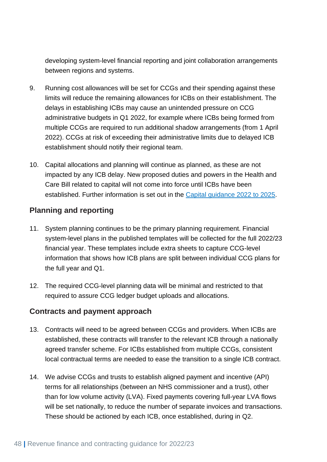developing system-level financial reporting and joint collaboration arrangements between regions and systems.

- 9. Running cost allowances will be set for CCGs and their spending against these limits will reduce the remaining allowances for ICBs on their establishment. The delays in establishing ICBs may cause an unintended pressure on CCG administrative budgets in Q1 2022, for example where ICBs being formed from multiple CCGs are required to run additional shadow arrangements (from 1 April 2022). CCGs at risk of exceeding their administrative limits due to delayed ICB establishment should notify their regional team.
- 10. Capital allocations and planning will continue as planned, as these are not impacted by any ICB delay. New proposed duties and powers in the Health and Care Bill related to capital will not come into force until ICBs have been established. Further information is set out in the [Capital guidance 2022 to 2025.](https://www.england.nhs.uk/publication/planning-guidance-capital-guidance-for-2022-25/)

#### <span id="page-47-0"></span>**Planning and reporting**

- 11. System planning continues to be the primary planning requirement. Financial system-level plans in the published templates will be collected for the full 2022/23 financial year. These templates include extra sheets to capture CCG-level information that shows how ICB plans are split between individual CCG plans for the full year and Q1.
- 12. The required CCG-level planning data will be minimal and restricted to that required to assure CCG ledger budget uploads and allocations.

#### <span id="page-47-1"></span>**Contracts and payment approach**

- 13. Contracts will need to be agreed between CCGs and providers. When ICBs are established, these contracts will transfer to the relevant ICB through a nationally agreed transfer scheme. For ICBs established from multiple CCGs, consistent local contractual terms are needed to ease the transition to a single ICB contract.
- 14. We advise CCGs and trusts to establish aligned payment and incentive (API) terms for all relationships (between an NHS commissioner and a trust), other than for low volume activity (LVA). Fixed payments covering full-year LVA flows will be set nationally, to reduce the number of separate invoices and transactions. These should be actioned by each ICB, once established, during in Q2.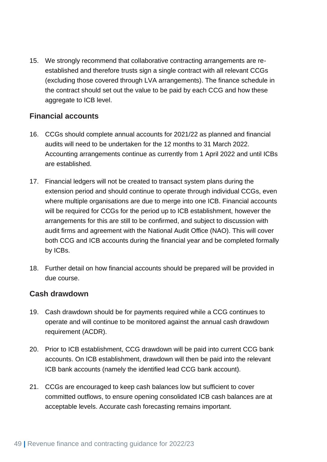15. We strongly recommend that collaborative contracting arrangements are reestablished and therefore trusts sign a single contract with all relevant CCGs (excluding those covered through LVA arrangements). The finance schedule in the contract should set out the value to be paid by each CCG and how these aggregate to ICB level.

#### <span id="page-48-0"></span>**Financial accounts**

- 16. CCGs should complete annual accounts for 2021/22 as planned and financial audits will need to be undertaken for the 12 months to 31 March 2022. Accounting arrangements continue as currently from 1 April 2022 and until ICBs are established.
- 17. Financial ledgers will not be created to transact system plans during the extension period and should continue to operate through individual CCGs, even where multiple organisations are due to merge into one ICB. Financial accounts will be required for CCGs for the period up to ICB establishment, however the arrangements for this are still to be confirmed, and subject to discussion with audit firms and agreement with the National Audit Office (NAO). This will cover both CCG and ICB accounts during the financial year and be completed formally by ICBs.
- 18. Further detail on how financial accounts should be prepared will be provided in due course.

#### <span id="page-48-1"></span>**Cash drawdown**

- 19. Cash drawdown should be for payments required while a CCG continues to operate and will continue to be monitored against the annual cash drawdown requirement (ACDR).
- 20. Prior to ICB establishment, CCG drawdown will be paid into current CCG bank accounts. On ICB establishment, drawdown will then be paid into the relevant ICB bank accounts (namely the identified lead CCG bank account).
- 21. CCGs are encouraged to keep cash balances low but sufficient to cover committed outflows, to ensure opening consolidated ICB cash balances are at acceptable levels. Accurate cash forecasting remains important.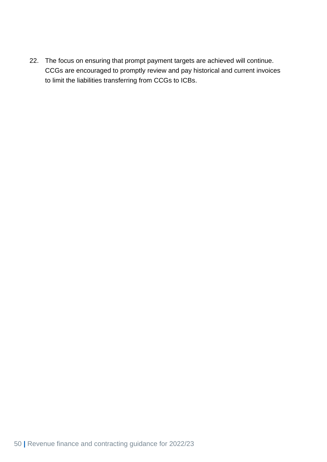22. The focus on ensuring that prompt payment targets are achieved will continue. CCGs are encouraged to promptly review and pay historical and current invoices to limit the liabilities transferring from CCGs to ICBs.